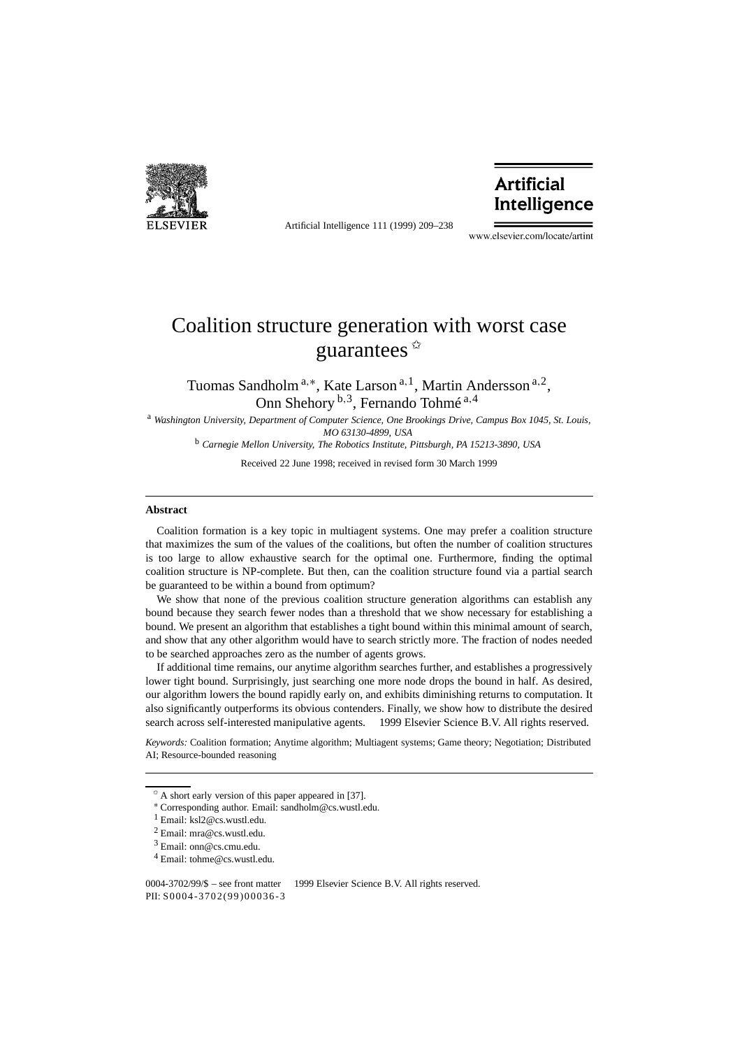

Artificial Intelligence 111 (1999) 209–238



www.elsevier.com/locate/artint

# Coalition structure generation with worst case guarantees $\frac{\dot{\alpha}}{2}$

Tuomas Sandholm <sup>a</sup>*,*∗, Kate Larson <sup>a</sup>*,*1, Martin Andersson <sup>a</sup>*,*2, Onn Shehory <sup>b</sup>*,*3, Fernando Tohmé <sup>a</sup>*,*<sup>4</sup>

<sup>a</sup> *Washington University, Department of Computer Science, One Brookings Drive, Campus Box 1045, St. Louis, MO 63130-4899, USA*

<sup>b</sup> *Carnegie Mellon University, The Robotics Institute, Pittsburgh, PA 15213-3890, USA*

Received 22 June 1998; received in revised form 30 March 1999

#### **Abstract**

Coalition formation is a key topic in multiagent systems. One may prefer a coalition structure that maximizes the sum of the values of the coalitions, but often the number of coalition structures is too large to allow exhaustive search for the optimal one. Furthermore, finding the optimal coalition structure is NP-complete. But then, can the coalition structure found via a partial search be guaranteed to be within a bound from optimum?

We show that none of the previous coalition structure generation algorithms can establish any bound because they search fewer nodes than a threshold that we show necessary for establishing a bound. We present an algorithm that establishes a tight bound within this minimal amount of search, and show that any other algorithm would have to search strictly more. The fraction of nodes needed to be searched approaches zero as the number of agents grows.

If additional time remains, our anytime algorithm searches further, and establishes a progressively lower tight bound. Surprisingly, just searching one more node drops the bound in half. As desired, our algorithm lowers the bound rapidly early on, and exhibits diminishing returns to computation. It also significantly outperforms its obvious contenders. Finally, we show how to distribute the desired search across self-interested manipulative agents.  $© 1999$  Elsevier Science B.V. All rights reserved.

*Keywords:* Coalition formation; Anytime algorithm; Multiagent systems; Game theory; Negotiation; Distributed AI; Resource-bounded reasoning

0004-3702/99/\$ – see front matter © 1999 Elsevier Science B.V. All rights reserved. PII: S0004-3702(99)00036-3

 $\alpha$  A short early version of this paper appeared in [37].

<sup>∗</sup> Corresponding author. Email: sandholm@cs.wustl.edu.

<sup>1</sup> Email: ksl2@cs.wustl.edu.

<sup>2</sup> Email: mra@cs.wustl.edu.

<sup>3</sup> Email: onn@cs.cmu.edu.

<sup>4</sup> Email: tohme@cs.wustl.edu.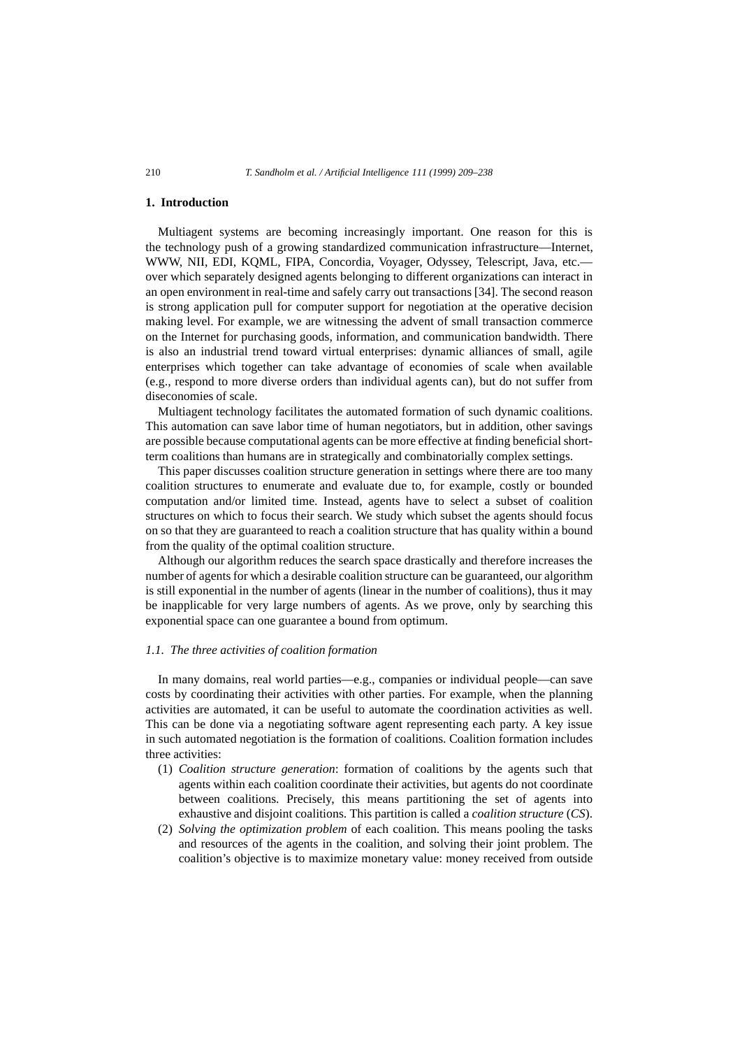### **1. Introduction**

Multiagent systems are becoming increasingly important. One reason for this is the technology push of a growing standardized communication infrastructure—Internet, WWW, NII, EDI, KQML, FIPA, Concordia, Voyager, Odyssey, Telescript, Java, etc. over which separately designed agents belonging to different organizations can interact in an open environment in real-time and safely carry out transactions [34]. The second reason is strong application pull for computer support for negotiation at the operative decision making level. For example, we are witnessing the advent of small transaction commerce on the Internet for purchasing goods, information, and communication bandwidth. There is also an industrial trend toward virtual enterprises: dynamic alliances of small, agile enterprises which together can take advantage of economies of scale when available (e.g., respond to more diverse orders than individual agents can), but do not suffer from diseconomies of scale.

Multiagent technology facilitates the automated formation of such dynamic coalitions. This automation can save labor time of human negotiators, but in addition, other savings are possible because computational agents can be more effective at finding beneficial shortterm coalitions than humans are in strategically and combinatorially complex settings.

This paper discusses coalition structure generation in settings where there are too many coalition structures to enumerate and evaluate due to, for example, costly or bounded computation and/or limited time. Instead, agents have to select a subset of coalition structures on which to focus their search. We study which subset the agents should focus on so that they are guaranteed to reach a coalition structure that has quality within a bound from the quality of the optimal coalition structure.

Although our algorithm reduces the search space drastically and therefore increases the number of agents for which a desirable coalition structure can be guaranteed, our algorithm is still exponential in the number of agents (linear in the number of coalitions), thus it may be inapplicable for very large numbers of agents. As we prove, only by searching this exponential space can one guarantee a bound from optimum.

# *1.1. The three activities of coalition formation*

In many domains, real world parties—e.g., companies or individual people—can save costs by coordinating their activities with other parties. For example, when the planning activities are automated, it can be useful to automate the coordination activities as well. This can be done via a negotiating software agent representing each party. A key issue in such automated negotiation is the formation of coalitions. Coalition formation includes three activities:

- (1) *Coalition structure generation*: formation of coalitions by the agents such that agents within each coalition coordinate their activities, but agents do not coordinate between coalitions. Precisely, this means partitioning the set of agents into exhaustive and disjoint coalitions. This partition is called a *coalition structure* (*CS*).
- (2) *Solving the optimization problem* of each coalition. This means pooling the tasks and resources of the agents in the coalition, and solving their joint problem. The coalition's objective is to maximize monetary value: money received from outside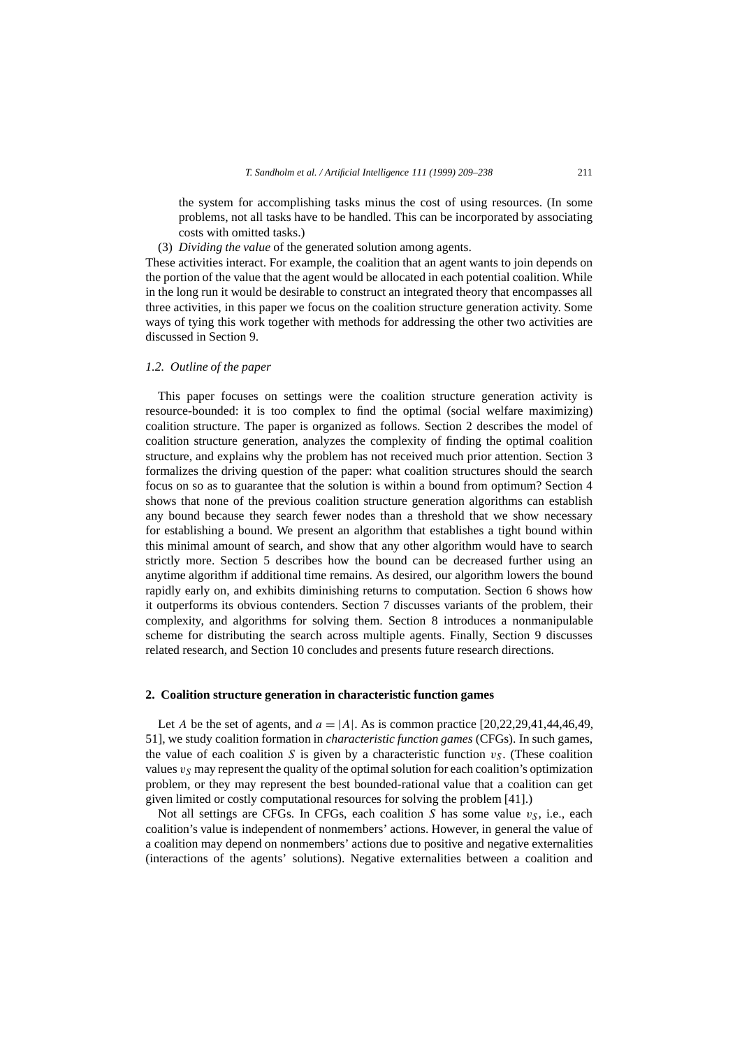the system for accomplishing tasks minus the cost of using resources. (In some problems, not all tasks have to be handled. This can be incorporated by associating costs with omitted tasks.)

(3) *Dividing the value* of the generated solution among agents.

These activities interact. For example, the coalition that an agent wants to join depends on the portion of the value that the agent would be allocated in each potential coalition. While in the long run it would be desirable to construct an integrated theory that encompasses all three activities, in this paper we focus on the coalition structure generation activity. Some ways of tying this work together with methods for addressing the other two activities are discussed in Section 9.

#### *1.2. Outline of the paper*

This paper focuses on settings were the coalition structure generation activity is resource-bounded: it is too complex to find the optimal (social welfare maximizing) coalition structure. The paper is organized as follows. Section 2 describes the model of coalition structure generation, analyzes the complexity of finding the optimal coalition structure, and explains why the problem has not received much prior attention. Section 3 formalizes the driving question of the paper: what coalition structures should the search focus on so as to guarantee that the solution is within a bound from optimum? Section 4 shows that none of the previous coalition structure generation algorithms can establish any bound because they search fewer nodes than a threshold that we show necessary for establishing a bound. We present an algorithm that establishes a tight bound within this minimal amount of search, and show that any other algorithm would have to search strictly more. Section 5 describes how the bound can be decreased further using an anytime algorithm if additional time remains. As desired, our algorithm lowers the bound rapidly early on, and exhibits diminishing returns to computation. Section 6 shows how it outperforms its obvious contenders. Section 7 discusses variants of the problem, their complexity, and algorithms for solving them. Section 8 introduces a nonmanipulable scheme for distributing the search across multiple agents. Finally, Section 9 discusses related research, and Section 10 concludes and presents future research directions.

# **2. Coalition structure generation in characteristic function games**

Let *A* be the set of agents, and  $a = |A|$ . As is common practice [20,22,29,41,44,46,49,] 51], we study coalition formation in *characteristic function games* (CFGs). In such games, the value of each coalition *S* is given by a characteristic function  $v<sub>S</sub>$ . (These coalition values  $v_S$  may represent the quality of the optimal solution for each coalition's optimization problem, or they may represent the best bounded-rational value that a coalition can get given limited or costly computational resources for solving the problem [41].)

Not all settings are CFGs. In CFGs, each coalition *S* has some value  $v_s$ , i.e., each coalition's value is independent of nonmembers' actions. However, in general the value of a coalition may depend on nonmembers' actions due to positive and negative externalities (interactions of the agents' solutions). Negative externalities between a coalition and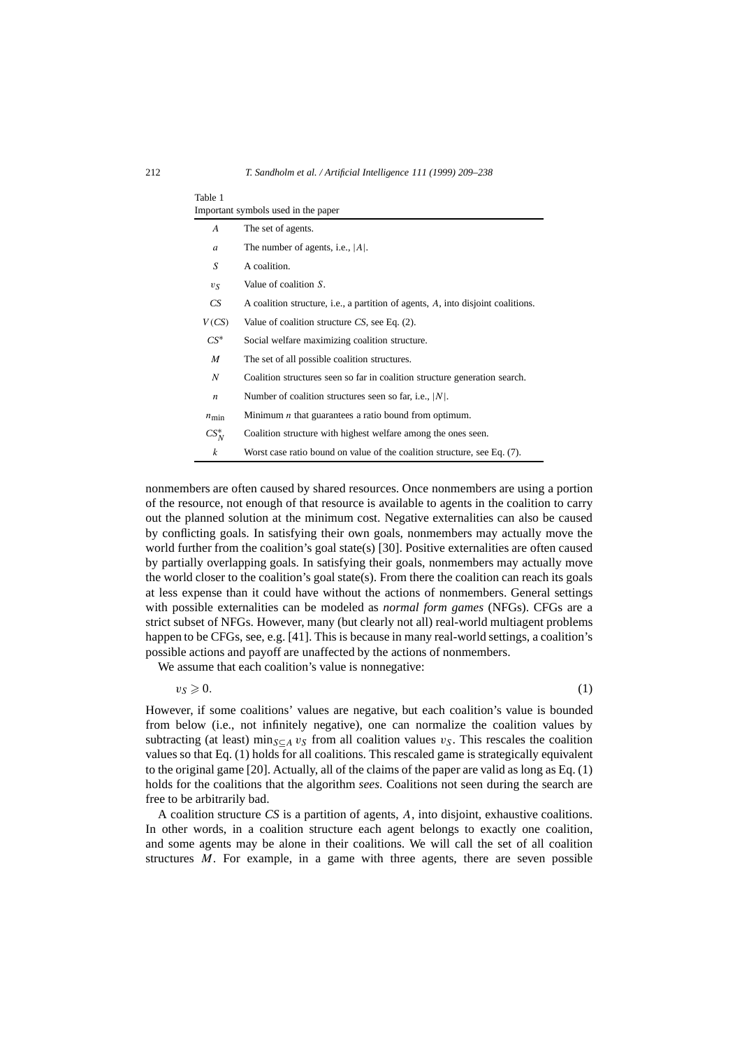| Important symbols used in the paper |                                                                                          |
|-------------------------------------|------------------------------------------------------------------------------------------|
| A                                   | The set of agents.                                                                       |
| $\mathfrak a$                       | The number of agents, i.e., $ A $ .                                                      |
| S                                   | A coalition.                                                                             |
| $v_S$                               | Value of coalition S.                                                                    |
| CS                                  | A coalition structure, <i>i.e.</i> , a partition of agents, A, into disjoint coalitions. |
| V(CS)                               | Value of coalition structure $CS$ , see Eq. (2).                                         |
| $CS^*$                              | Social welfare maximizing coalition structure.                                           |
| M                                   | The set of all possible coalition structures.                                            |
| Ν                                   | Coalition structures seen so far in coalition structure generation search.               |
| n                                   | Number of coalition structures seen so far, i.e., $ N $ .                                |
| $n_{\min}$                          | Minimum $n$ that guarantees a ratio bound from optimum.                                  |
| $CS_N^*$                            | Coalition structure with highest welfare among the ones seen.                            |
| k                                   | Worst case ratio bound on value of the coalition structure, see Eq. (7).                 |

nonmembers are often caused by shared resources. Once nonmembers are using a portion of the resource, not enough of that resource is available to agents in the coalition to carry out the planned solution at the minimum cost. Negative externalities can also be caused by conflicting goals. In satisfying their own goals, nonmembers may actually move the world further from the coalition's goal state(s) [30]. Positive externalities are often caused by partially overlapping goals. In satisfying their goals, nonmembers may actually move the world closer to the coalition's goal state(s). From there the coalition can reach its goals at less expense than it could have without the actions of nonmembers. General settings with possible externalities can be modeled as *normal form games* (NFGs). CFGs are a strict subset of NFGs. However, many (but clearly not all) real-world multiagent problems happen to be CFGs, see, e.g. [41]. This is because in many real-world settings, a coalition's possible actions and payoff are unaffected by the actions of nonmembers.

We assume that each coalition's value is nonnegative:

$$
v_S \geqslant 0. \tag{1}
$$

However, if some coalitions' values are negative, but each coalition's value is bounded from below (i.e., not infinitely negative), one can normalize the coalition values by subtracting (at least) min<sub>*S*⊂*A v<sub>S</sub>* from all coalition values *v<sub>S</sub>*. This rescales the coalition</sub> values so that Eq. (1) holds for all coalitions. This rescaled game is strategically equivalent to the original game [20]. Actually, all of the claims of the paper are valid as long as Eq. (1) holds for the coalitions that the algorithm *sees*. Coalitions not seen during the search are free to be arbitrarily bad.

A coalition structure *CS* is a partition of agents, *A*, into disjoint, exhaustive coalitions. In other words, in a coalition structure each agent belongs to exactly one coalition, and some agents may be alone in their coalitions. We will call the set of all coalition structures  $M$ . For example, in a game with three agents, there are seven possible

Table 1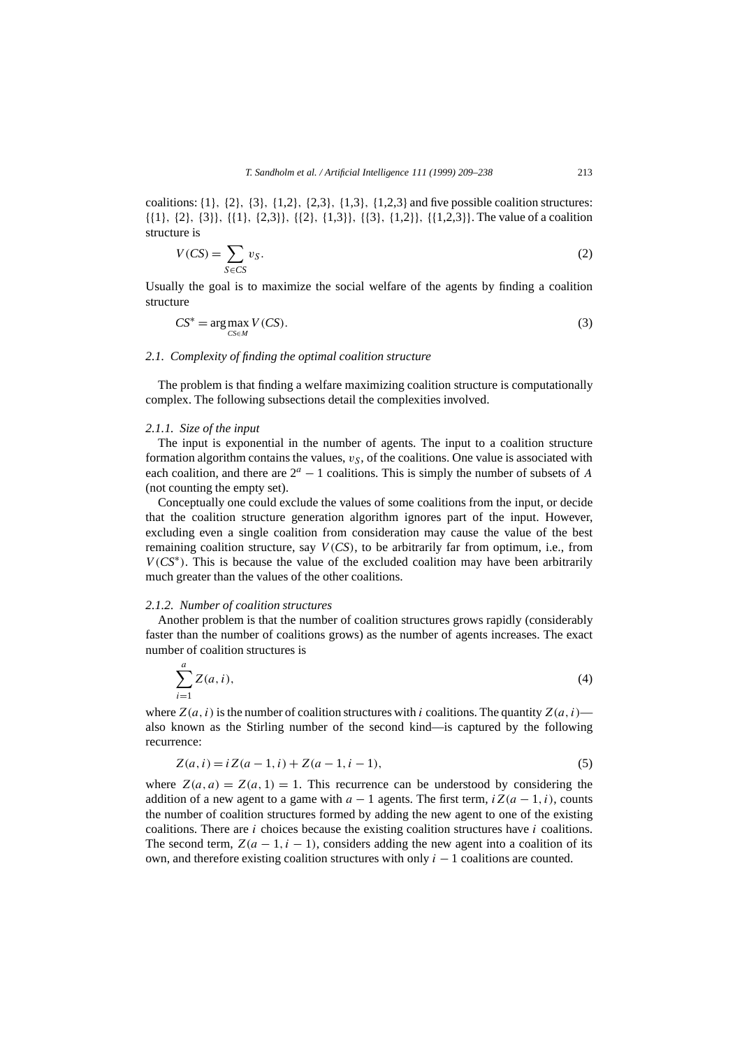coalitions:  $\{1\}$ *,*  $\{2\}$ *,*  $\{3\}$ *,*  $\{1,2\}$ *,*  $\{1,3\}$ *,*  $\{1,2,3\}$  and five possible coalition structures: {{1}*,* {2}*,* {3}}*,* {{1}*,* {2,3}}*,* {{2}*,* {1,3}}*,* {{3}*,* {1,2}}*,* {{1,2,3}}. The value of a coalition structure is

$$
V(CS) = \sum_{S \in CS} v_S.
$$
 (2)

Usually the goal is to maximize the social welfare of the agents by finding a coalition structure

$$
CS^* = \underset{CS \in M}{\arg \max} V(CS). \tag{3}
$$

#### *2.1. Complexity of finding the optimal coalition structure*

The problem is that finding a welfare maximizing coalition structure is computationally complex. The following subsections detail the complexities involved.

# *2.1.1. Size of the input*

The input is exponential in the number of agents. The input to a coalition structure formation algorithm contains the values,  $v<sub>S</sub>$ , of the coalitions. One value is associated with each coalition, and there are  $2^a - 1$  coalitions. This is simply the number of subsets of *A* (not counting the empty set).

Conceptually one could exclude the values of some coalitions from the input, or decide that the coalition structure generation algorithm ignores part of the input. However, excluding even a single coalition from consideration may cause the value of the best remaining coalition structure, say *V (CS)*, to be arbitrarily far from optimum, i.e., from  $V(CS<sup>*</sup>)$ . This is because the value of the excluded coalition may have been arbitrarily much greater than the values of the other coalitions.

#### *2.1.2. Number of coalition structures*

Another problem is that the number of coalition structures grows rapidly (considerably faster than the number of coalitions grows) as the number of agents increases. The exact number of coalition structures is

$$
\sum_{i=1}^{a} Z(a,i),\tag{4}
$$

where  $Z(a, i)$  is the number of coalition structures with *i* coalitions. The quantity  $Z(a, i)$  also known as the Stirling number of the second kind—is captured by the following recurrence:

$$
Z(a, i) = i Z(a - 1, i) + Z(a - 1, i - 1),
$$
\n(5)

where  $Z(a, a) = Z(a, 1) = 1$ . This recurrence can be understood by considering the addition of a new agent to a game with  $a - 1$  agents. The first term,  $iZ(a - 1, i)$ , counts the number of coalition structures formed by adding the new agent to one of the existing coalitions. There are *i* choices because the existing coalition structures have *i* coalitions. The second term,  $Z(a-1, i-1)$ , considers adding the new agent into a coalition of its own, and therefore existing coalition structures with only *i* − 1 coalitions are counted.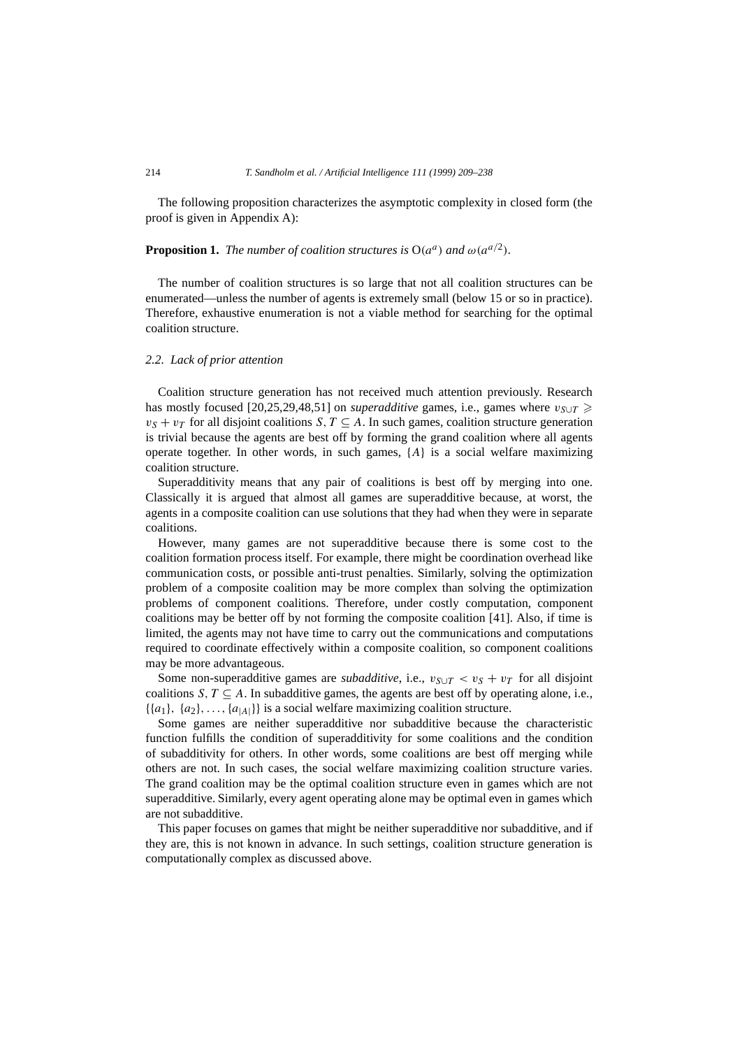The following proposition characterizes the asymptotic complexity in closed form (the proof is given in Appendix A):

# **Proposition 1.** *The number of coalition structures is*  $O(a^a)$  *and*  $\omega(a^{a/2})$ *.*

The number of coalition structures is so large that not all coalition structures can be enumerated—unless the number of agents is extremely small (below 15 or so in practice). Therefore, exhaustive enumeration is not a viable method for searching for the optimal coalition structure.

# *2.2. Lack of prior attention*

Coalition structure generation has not received much attention previously. Research has mostly focused [20,25,29,48,51] on *superadditive* games, i.e., games where  $v_{S\parallel T} \geq$  $v_S + v_T$  for all disjoint coalitions *S*, *T* ⊆ *A*. In such games, coalition structure generation is trivial because the agents are best off by forming the grand coalition where all agents operate together. In other words, in such games, {*A*} is a social welfare maximizing coalition structure.

Superadditivity means that any pair of coalitions is best off by merging into one. Classically it is argued that almost all games are superadditive because, at worst, the agents in a composite coalition can use solutions that they had when they were in separate coalitions.

However, many games are not superadditive because there is some cost to the coalition formation process itself. For example, there might be coordination overhead like communication costs, or possible anti-trust penalties. Similarly, solving the optimization problem of a composite coalition may be more complex than solving the optimization problems of component coalitions. Therefore, under costly computation, component coalitions may be better off by not forming the composite coalition [41]. Also, if time is limited, the agents may not have time to carry out the communications and computations required to coordinate effectively within a composite coalition, so component coalitions may be more advantageous.

Some non-superadditive games are *subadditive*, i.e.,  $v_{S\cup T} < v_S + v_T$  for all disjoint coalitions *S*,  $T \subseteq A$ . In subadditive games, the agents are best off by operating alone, i.e.,  $\{\{a_1\}, \{a_2\}, \ldots, \{a_{|A|}\}\}\$ is a social welfare maximizing coalition structure.

Some games are neither superadditive nor subadditive because the characteristic function fulfills the condition of superadditivity for some coalitions and the condition of subadditivity for others. In other words, some coalitions are best off merging while others are not. In such cases, the social welfare maximizing coalition structure varies. The grand coalition may be the optimal coalition structure even in games which are not superadditive. Similarly, every agent operating alone may be optimal even in games which are not subadditive.

This paper focuses on games that might be neither superadditive nor subadditive, and if they are, this is not known in advance. In such settings, coalition structure generation is computationally complex as discussed above.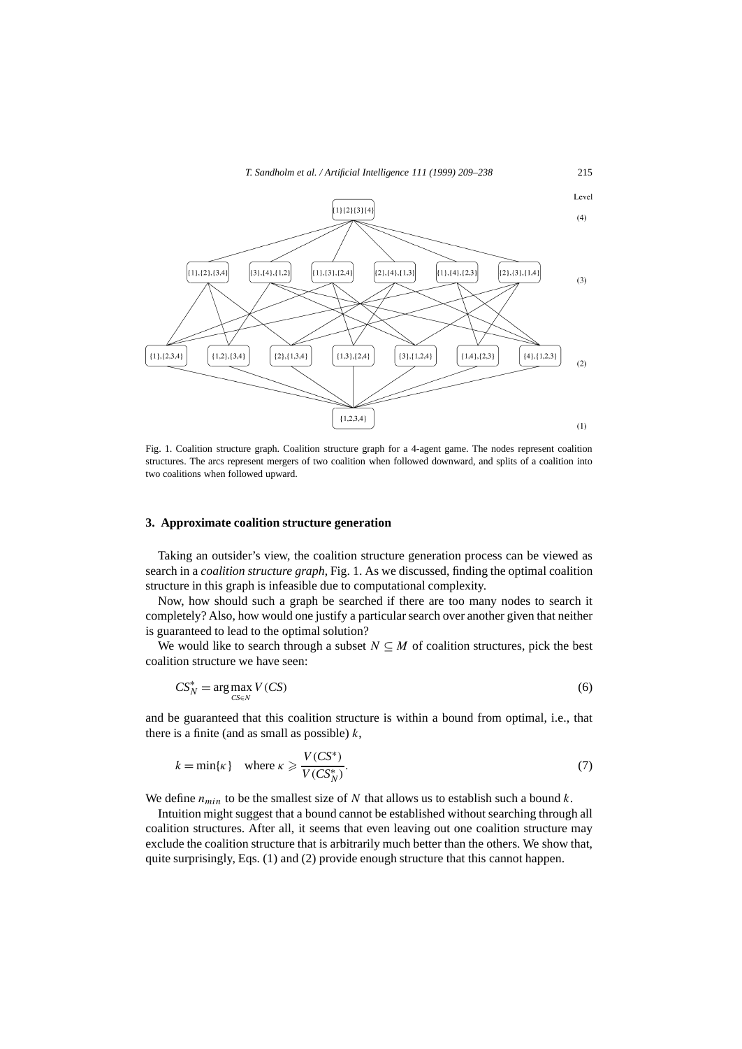

Fig. 1. Coalition structure graph. Coalition structure graph for a 4-agent game. The nodes represent coalition structures. The arcs represent mergers of two coalition when followed downward, and splits of a coalition into two coalitions when followed upward.

#### **3. Approximate coalition structure generation**

Taking an outsider's view, the coalition structure generation process can be viewed as search in a *coalition structure graph*, Fig. 1. As we discussed, finding the optimal coalition structure in this graph is infeasible due to computational complexity.

Now, how should such a graph be searched if there are too many nodes to search it completely? Also, how would one justify a particular search over another given that neither is guaranteed to lead to the optimal solution?

We would like to search through a subset  $N \subseteq M$  of coalition structures, pick the best coalition structure we have seen:

$$
CS_N^* = \arg\max_{CS \in N} V(CS) \tag{6}
$$

and be guaranteed that this coalition structure is within a bound from optimal, i.e., that there is a finite (and as small as possible) *k*,

$$
k = \min\{\kappa\} \quad \text{where } \kappa \geqslant \frac{V(CS^*)}{V(CS_N^*)}.\tag{7}
$$

We define  $n_{min}$  to be the smallest size of N that allows us to establish such a bound  $k$ .

Intuition might suggest that a bound cannot be established without searching through all coalition structures. After all, it seems that even leaving out one coalition structure may exclude the coalition structure that is arbitrarily much better than the others. We show that, quite surprisingly, Eqs. (1) and (2) provide enough structure that this cannot happen.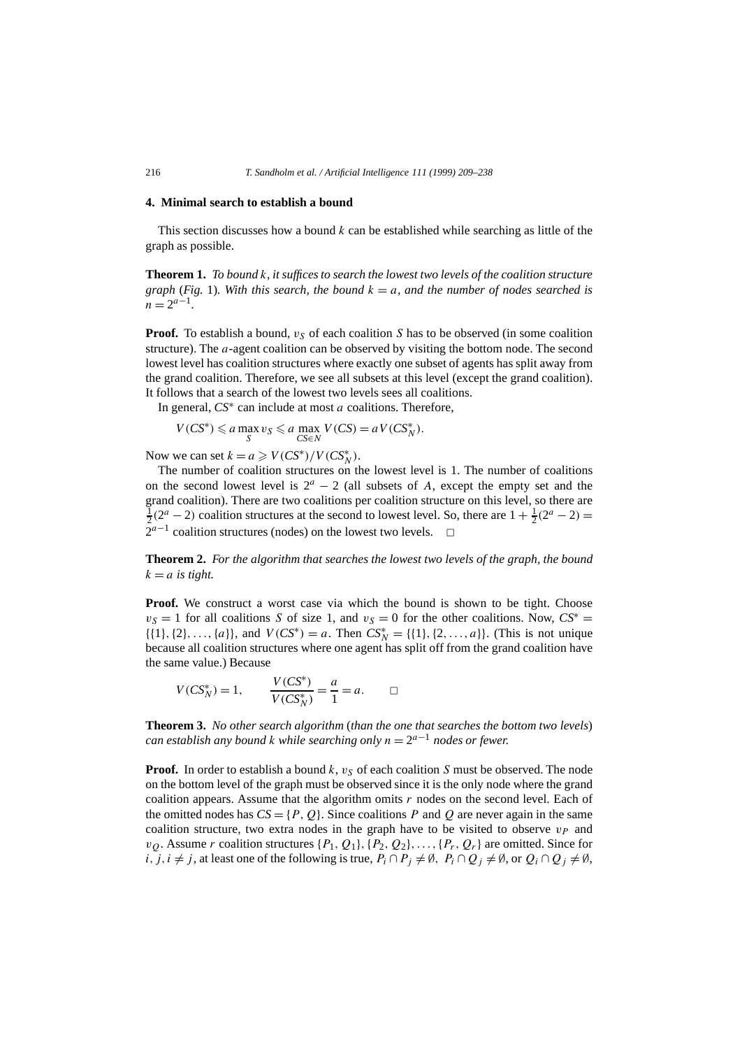# **4. Minimal search to establish a bound**

This section discusses how a bound *k* can be established while searching as little of the graph as possible.

**Theorem 1.** *To bound k, it suffices to search the lowest two levels of the coalition structure graph* (*Fig.* 1)*. With this search, the bound k* = *a, and the number of nodes searched is*  $n = 2^{a-1}$ .

**Proof.** To establish a bound,  $v_S$  of each coalition *S* has to be observed (in some coalition structure). The *a*-agent coalition can be observed by visiting the bottom node. The second lowest level has coalition structures where exactly one subset of agents has split away from the grand coalition. Therefore, we see all subsets at this level (except the grand coalition). It follows that a search of the lowest two levels sees all coalitions.

In general, *CS*<sup>∗</sup> can include at most *a* coalitions. Therefore,

$$
V(CS^*) \leq a \max_{S} v_S \leq a \max_{CS \in N} V(CS) = a V(CS_N^*).
$$

Now we can set  $k = a \geq V(CS^*)/V(CS_N^*)$ .

The number of coalition structures on the lowest level is 1. The number of coalitions on the second lowest level is  $2^a - 2$  (all subsets of *A*, except the empty set and the grand coalition). There are two coalitions per coalition structure on this level, so there are  $\frac{1}{2}(2^a - 2)$  coalition structures at the second to lowest level. So, there are  $1 + \frac{1}{2}(2^a - 2) =$  $2^{a-1}$  coalition structures (nodes) on the lowest two levels.  $\square$ 

**Theorem 2.** *For the algorithm that searches the lowest two levels of the graph, the bound*  $k = a$  *is tight.* 

**Proof.** We construct a worst case via which the bound is shown to be tight. Choose  $v_S = 1$  for all coalitions *S* of size 1, and  $v_S = 0$  for the other coalitions. Now,  $CS^* =$  $\{\{1\}, \{2\}, \ldots, \{a\}\}\$ , and  $V(CS^*) = a$ . Then  $CS_N^* = \{\{1\}, \{2, \ldots, a\}\}\$ . (This is not unique because all coalition structures where one agent has split off from the grand coalition have the same value.) Because

$$
V(CS_N^*) = 1,
$$
  $\frac{V(CS^*)}{V(CS_N^*)} = \frac{a}{1} = a.$   $\Box$ 

**Theorem 3.** *No other search algorithm* (*than the one that searches the bottom two levels*) *can establish any bound k while searching only*  $n = 2^{a-1}$  *nodes or fewer.* 

**Proof.** In order to establish a bound  $k$ ,  $v<sub>S</sub>$  of each coalition *S* must be observed. The node on the bottom level of the graph must be observed since it is the only node where the grand coalition appears. Assume that the algorithm omits *r* nodes on the second level. Each of the omitted nodes has  $CS = \{P, Q\}$ . Since coalitions *P* and *Q* are never again in the same coalition structure, two extra nodes in the graph have to be visited to observe  $v_p$  and  $v_Q$ . Assume *r* coalition structures  $\{P_1, Q_1\}$ ,  $\{P_2, Q_2\}$ , ...,  $\{P_r, Q_r\}$  are omitted. Since for *i, j, i*  $\neq$  *j,* at least one of the following is true,  $P_i \cap P_j \neq \emptyset$ ,  $P_i \cap Q_j \neq \emptyset$ , or  $Q_i \cap Q_j \neq \emptyset$ ,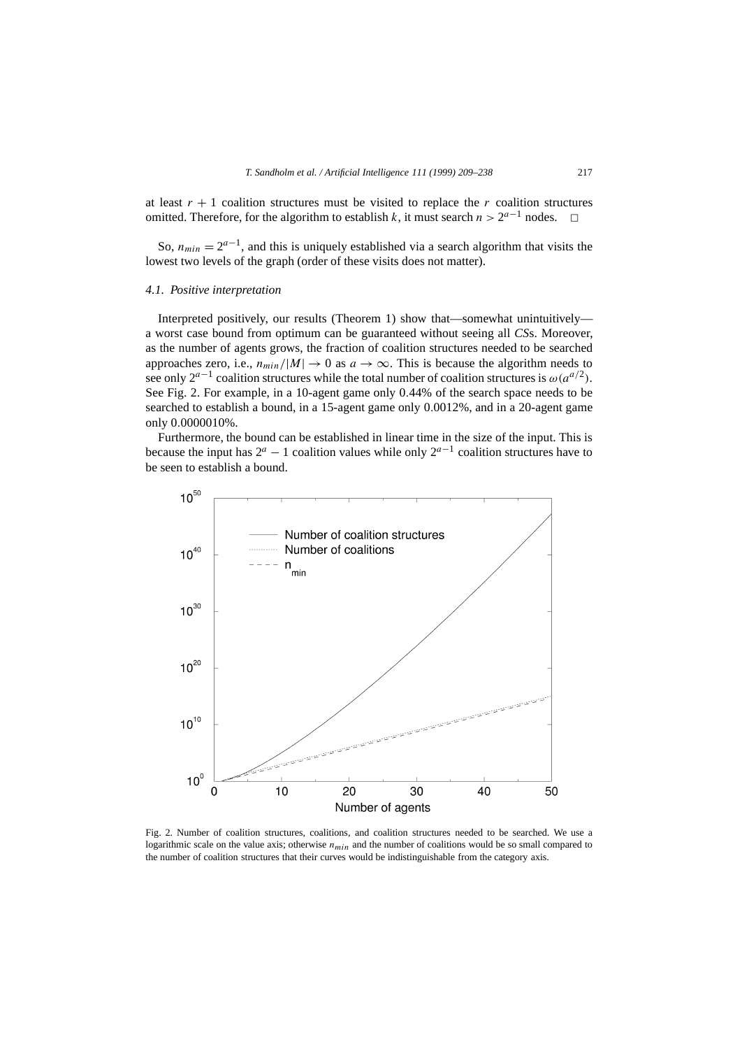at least  $r + 1$  coalition structures must be visited to replace the r coalition structures omitted. Therefore, for the algorithm to establish *k*, it must search  $n > 2^{a-1}$  nodes.

So,  $n_{min} = 2^{a-1}$ , and this is uniquely established via a search algorithm that visits the lowest two levels of the graph (order of these visits does not matter).

### *4.1. Positive interpretation*

Interpreted positively, our results (Theorem 1) show that—somewhat unintuitively a worst case bound from optimum can be guaranteed without seeing all *CS*s. Moreover, as the number of agents grows, the fraction of coalition structures needed to be searched approaches zero, i.e.,  $n_{min}/|M| \rightarrow 0$  as  $a \rightarrow \infty$ . This is because the algorithm needs to see only  $2^{a-1}$  coalition structures while the total number of coalition structures is  $\omega(a^{a/2})$ . See Fig. 2. For example, in a 10-agent game only 0*.*44% of the search space needs to be searched to establish a bound, in a 15-agent game only 0*.*0012%, and in a 20-agent game only 0*.*0000010%.

Furthermore, the bound can be established in linear time in the size of the input. This is because the input has  $2^a - 1$  coalition values while only  $2^{a-1}$  coalition structures have to be seen to establish a bound.



Fig. 2. Number of coalition structures, coalitions, and coalition structures needed to be searched. We use a logarithmic scale on the value axis; otherwise  $n_{min}$  and the number of coalitions would be so small compared to the number of coalition structures that their curves would be indistinguishable from the category axis.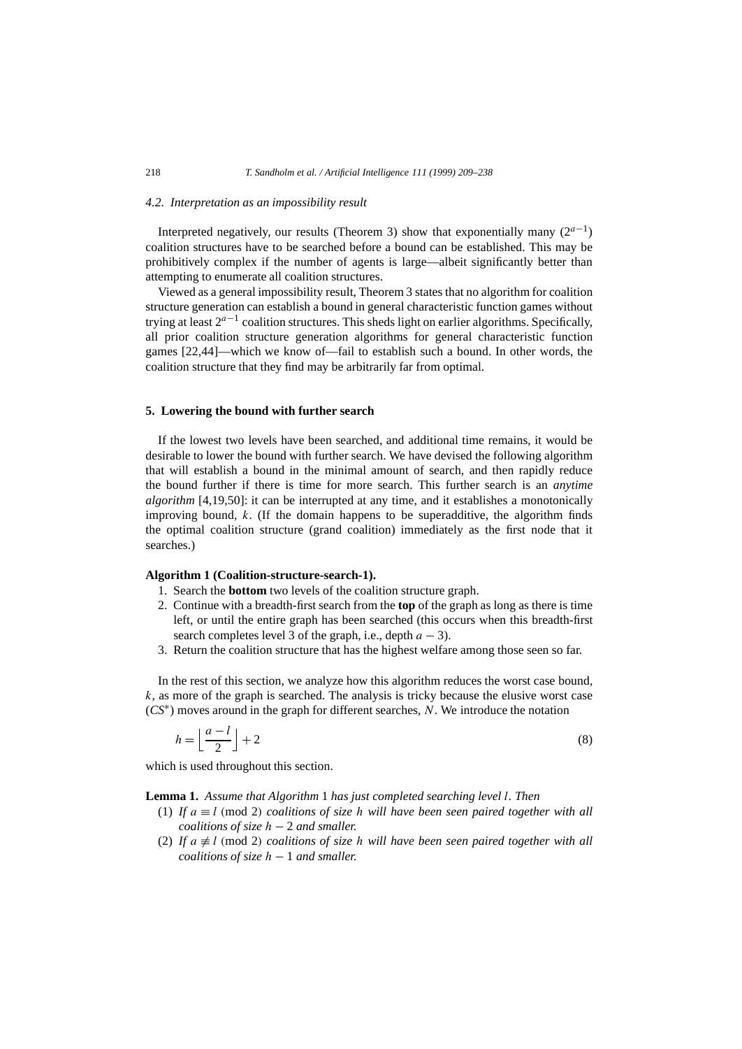# *4.2. Interpretation as an impossibility result*

Interpreted negatively, our results (Theorem 3) show that exponentially many  $(2^{a-1})$ coalition structures have to be searched before a bound can be established. This may be prohibitively complex if the number of agents is large—albeit significantly better than attempting to enumerate all coalition structures.

Viewed as a general impossibility result, Theorem 3 states that no algorithm for coalition structure generation can establish a bound in general characteristic function games without trying at least 2*a*−<sup>1</sup> coalition structures. This sheds light on earlier algorithms. Specifically, all prior coalition structure generation algorithms for general characteristic function games [22,44]—which we know of—fail to establish such a bound. In other words, the coalition structure that they find may be arbitrarily far from optimal.

## **5. Lowering the bound with further search**

If the lowest two levels have been searched, and additional time remains, it would be desirable to lower the bound with further search. We have devised the following algorithm that will establish a bound in the minimal amount of search, and then rapidly reduce the bound further if there is time for more search. This further search is an *anytime algorithm* [4,19,50]: it can be interrupted at any time, and it establishes a monotonically improving bound, *k*. (If the domain happens to be superadditive, the algorithm finds the optimal coalition structure (grand coalition) immediately as the first node that it searches.)

# **Algorithm 1 (Coalition-structure-search-1).**

- 1. Search the **bottom** two levels of the coalition structure graph.
- 2. Continue with a breadth-first search from the **top** of the graph as long as there is time left, or until the entire graph has been searched (this occurs when this breadth-first search completes level 3 of the graph, i.e., depth  $a - 3$ ).
- 3. Return the coalition structure that has the highest welfare among those seen so far.

In the rest of this section, we analyze how this algorithm reduces the worst case bound, *k*, as more of the graph is searched. The analysis is tricky because the elusive worst case (*CS*∗) moves around in the graph for different searches, *N*. We introduce the notation

$$
h = \left\lfloor \frac{a - l}{2} \right\rfloor + 2\tag{8}
$$

which is used throughout this section.

**Lemma 1.** *Assume that Algorithm* 1 *has just completed searching level l. Then*

- (1) *If*  $a \equiv l \pmod{2}$  *coalitions of size h will have been seen paired together with all coalitions of size h* − 2 *and smaller.*
- (2) If  $a \not\equiv l \pmod{2}$  coalitions of size *h* will have been seen paired together with all *coalitions of size h* − 1 *and smaller.*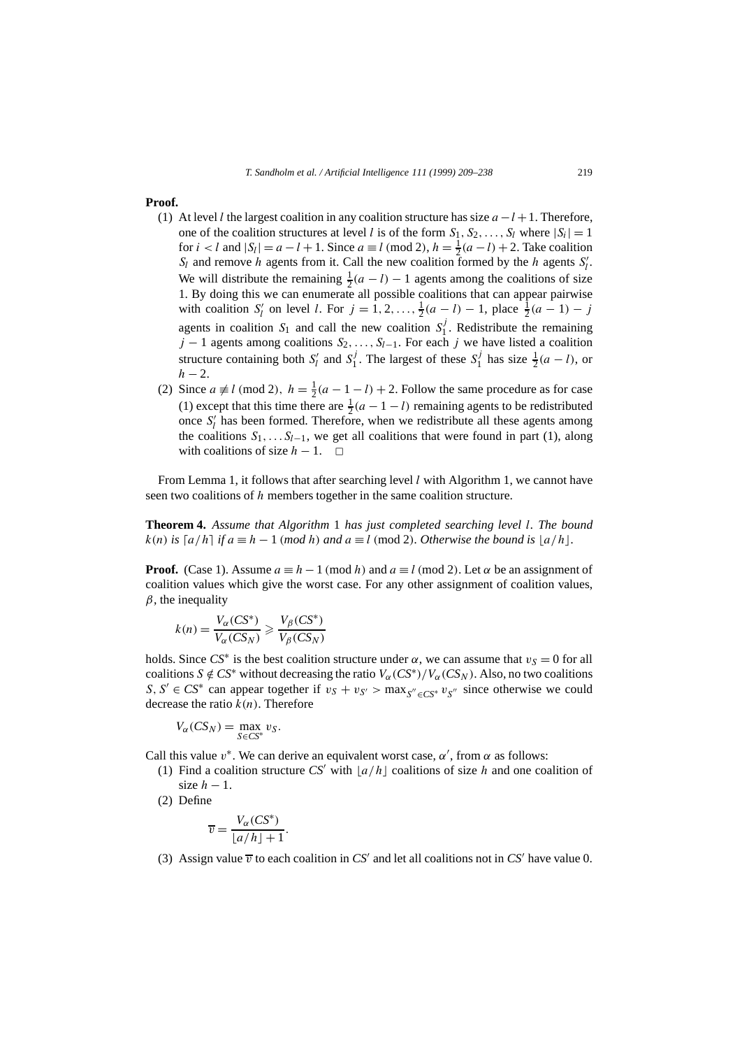#### **Proof.**

- (1) At level *l* the largest coalition in any coalition structure has size  $a l + 1$ . Therefore, one of the coalition structures at level *l* is of the form  $S_1, S_2, \ldots, S_l$  where  $|S_i| = 1$ for *i* < *l* and  $|S_l| = a - l + 1$ . Since  $a \equiv l \pmod{2}$ ,  $h = \frac{1}{2}(a - l) + 2$ . Take coalition  $S_l$  and remove *h* agents from it. Call the new coalition formed by the *h* agents  $S_l'$ . We will distribute the remaining  $\frac{1}{2}(a - l) - 1$  agents among the coalitions of size 1. By doing this we can enumerate all possible coalitions that can appear pairwise with coalition  $S_l'$  on level *l*. For  $j = 1, 2, ..., \frac{1}{2}(a - l) - 1$ , place  $\frac{1}{2}(a - 1) - j$ agents in coalition  $S_1$  and call the new coalition  $S_1^j$ . Redistribute the remaining *j* − 1 agents among coalitions *S*<sub>2</sub>, ..., *S*<sub>*l*−1</sub>. For each *j* we have listed a coalition structure containing both  $S_l'$  and  $S_1^j$ . The largest of these  $S_1^j$  has size  $\frac{1}{2}(a-l)$ , or *h* − 2.
- (2) Since  $a \neq l \pmod{2}$ ,  $h = \frac{1}{2}(a 1 l) + 2$ . Follow the same procedure as for case (1) except that this time there are  $\frac{1}{2}(a-1-l)$  remaining agents to be redistributed once  $S_l'$  has been formed. Therefore, when we redistribute all these agents among the coalitions *S*1*,...Sl*−1, we get all coalitions that were found in part (1), along with coalitions of size  $h - 1$ .  $\Box$

From Lemma 1, it follows that after searching level *l* with Algorithm 1, we cannot have seen two coalitions of *h* members together in the same coalition structure.

**Theorem 4.** *Assume that Algorithm* 1 *has just completed searching level l. The bound k*(*n*) *is*  $\lceil a/h \rceil$  *if*  $a \equiv h - 1 \pmod{h}$  *and*  $a \equiv l \pmod{2}$ *. Otherwise the bound is*  $\lceil a/h \rceil$ *.* 

**Proof.** (Case 1). Assume  $a \equiv h - 1 \pmod{h}$  and  $a \equiv l \pmod{2}$ . Let  $\alpha$  be an assignment of coalition values which give the worst case. For any other assignment of coalition values, *β*, the inequality

$$
k(n) = \frac{V_{\alpha}(CS^*)}{V_{\alpha}(CS_N)} \ge \frac{V_{\beta}(CS^*)}{V_{\beta}(CS_N)}
$$

holds. Since  $CS^*$  is the best coalition structure under  $\alpha$ , we can assume that  $v_S = 0$  for all coalitions  $S \notin CS^*$  without decreasing the ratio  $V_\alpha(CS^*)/V_\alpha(CS_N)$ . Also, no two coalitions *S, S*<sup> $\prime$ </sup> ∈ *CS*<sup>\*</sup> can appear together if *v<sub>S</sub>* + *v<sub>S</sub>* $\prime$  > max<sub>*S*<sup> $\prime$ </sup> ∈ *CS*<sup>\*</sup> *v<sub>S</sub>*<sup> $\prime$ </sup> since otherwise we could</sub> decrease the ratio  $k(n)$ . Therefore

$$
V_{\alpha}(CS_N) = \max_{S \in CS^*} v_S.
$$

Call this value  $v^*$ . We can derive an equivalent worst case,  $\alpha'$ , from  $\alpha$  as follows:

(1) Find a coalition structure  $CS'$  with  $\lfloor a/h \rfloor$  coalitions of size *h* and one coalition of size  $h - 1$ .

(2) Define

$$
\overline{v} = \frac{V_{\alpha}(CS^*)}{\lfloor a/h \rfloor + 1}.
$$

(3) Assign value  $\overline{v}$  to each coalition in *CS'* and let all coalitions not in *CS'* have value 0.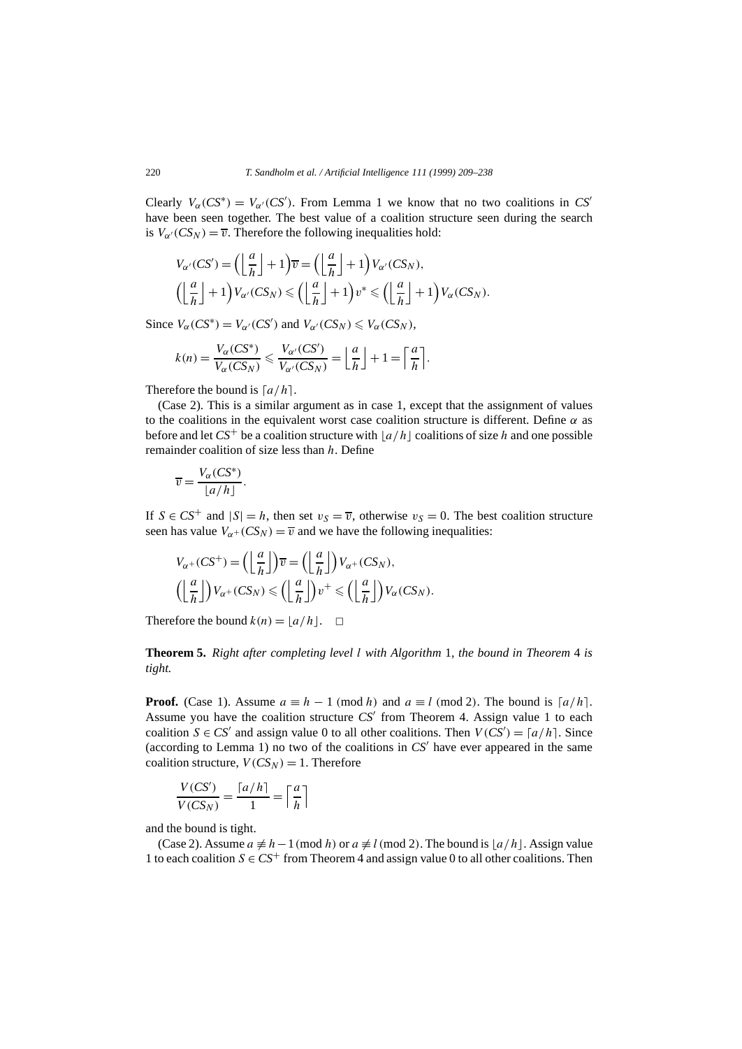Clearly  $V_\alpha(CS^*) = V_{\alpha'}(CS')$ . From Lemma 1 we know that no two coalitions in *CS'* have been seen together. The best value of a coalition structure seen during the search is  $V_{\alpha'}(CS_N) = \overline{v}$ . Therefore the following inequalities hold:

$$
V_{\alpha'}(CS') = \left(\left\lfloor \frac{a}{h} \right\rfloor + 1\right) \overline{v} = \left(\left\lfloor \frac{a}{h} \right\rfloor + 1\right) V_{\alpha'}(CS_N),
$$
  

$$
\left(\left\lfloor \frac{a}{h} \right\rfloor + 1\right) V_{\alpha'}(CS_N) \le \left(\left\lfloor \frac{a}{h} \right\rfloor + 1\right) v^* \le \left(\left\lfloor \frac{a}{h} \right\rfloor + 1\right) V_{\alpha}(CS_N).
$$

Since  $V_\alpha(CS^*) = V_{\alpha'}(CS')$  and  $V_{\alpha'}(CS_N) \le V_\alpha(CS_N)$ ,

$$
k(n) = \frac{V_{\alpha}(CS^*)}{V_{\alpha}(CS_N)} \leqslant \frac{V_{\alpha'}(CS')}{V_{\alpha'}(CS_N)} = \left\lfloor \frac{a}{h} \right\rfloor + 1 = \left\lceil \frac{a}{h} \right\rceil.
$$

Therefore the bound is  $\lceil a/h \rceil$ .

(Case 2). This is a similar argument as in case 1, except that the assignment of values to the coalitions in the equivalent worst case coalition structure is different. Define  $\alpha$  as before and let  $CS^+$  be a coalition structure with  $|a/h|$  coalitions of size *h* and one possible remainder coalition of size less than *h*. Define

$$
\overline{v} = \frac{V_{\alpha}(CS^*)}{\lfloor a/h \rfloor}.
$$

If  $S \in \mathbb{C}S^+$  and  $|S| = h$ , then set  $v_S = \overline{v}$ , otherwise  $v_S = 0$ . The best coalition structure seen has value  $V_{\alpha+}(CS_N) = \overline{v}$  and we have the following inequalities:

$$
V_{\alpha^+}(CS^+) = \left(\left\lfloor \frac{a}{h} \right\rfloor\right) \overline{v} = \left(\left\lfloor \frac{a}{h} \right\rfloor\right) V_{\alpha^+}(CS_N),
$$
  

$$
\left(\left\lfloor \frac{a}{h} \right\rfloor\right) V_{\alpha^+}(CS_N) \le \left(\left\lfloor \frac{a}{h} \right\rfloor\right) v^+ \le \left(\left\lfloor \frac{a}{h} \right\rfloor\right) V_{\alpha}(CS_N).
$$

Therefore the bound  $k(n) = |a/h|$ .  $\Box$ 

**Theorem 5.** *Right after completing level l with Algorithm* 1*, the bound in Theorem* 4 *is tight.*

**Proof.** (Case 1). Assume  $a \equiv h - 1 \pmod{h}$  and  $a \equiv l \pmod{2}$ . The bound is  $\lceil a/h \rceil$ . Assume you have the coalition structure  $CS'$  from Theorem 4. Assign value 1 to each coalition  $S \in CS'$  and assign value 0 to all other coalitions. Then  $V(CS') = \lceil a/h \rceil$ . Since (according to Lemma 1) no two of the coalitions in  $CS'$  have ever appeared in the same coalition structure,  $V(CS_N) = 1$ . Therefore

$$
\frac{V(CS')}{V(CS_N)} = \frac{\lceil a/h \rceil}{1} = \left\lceil \frac{a}{h} \right\rceil
$$

and the bound is tight.

(Case 2). Assume  $a \neq h-1 \pmod{h}$  or  $a \neq l \pmod{2}$ . The bound is  $|a/h|$ . Assign value 1 to each coalition  $S \in \mathbb{C}S^+$  from Theorem 4 and assign value 0 to all other coalitions. Then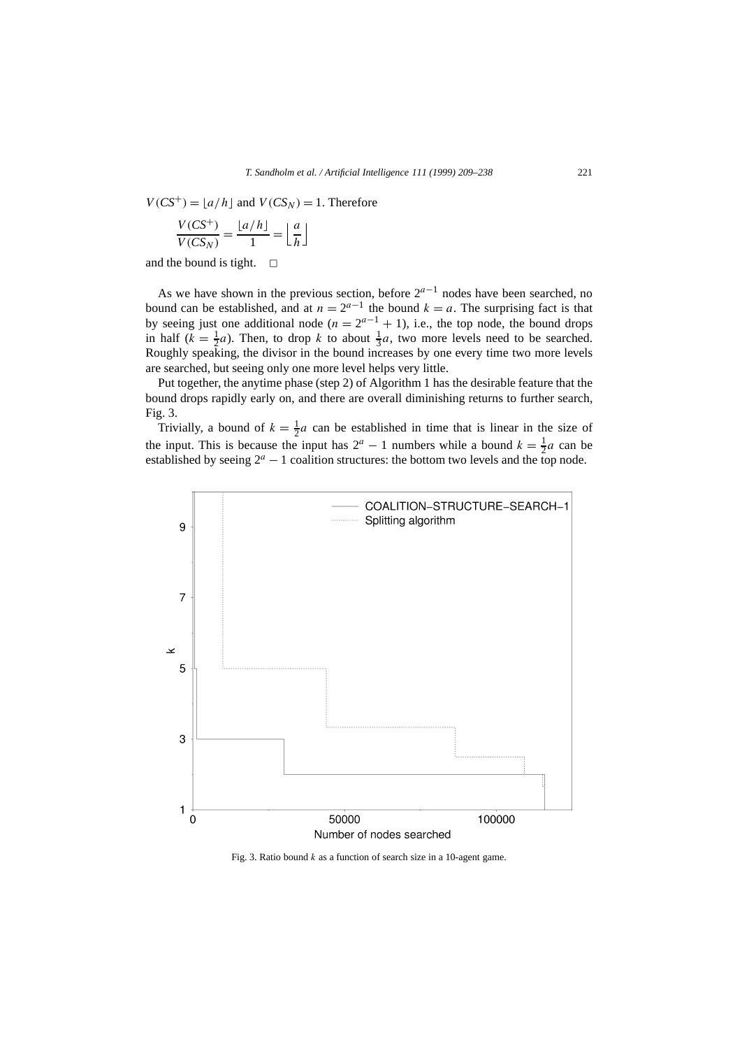$$
V(CS^{+}) = \lfloor a/h \rfloor \text{ and } V(CS_N) = 1. \text{ Therefore}
$$

$$
\frac{V(CS^{+})}{V(CS_N)} = \frac{\lfloor a/h \rfloor}{1} = \left\lfloor \frac{a}{h} \right\rfloor
$$

and the bound is tight.  $\square$ 

As we have shown in the previous section, before 2*a*−<sup>1</sup> nodes have been searched, no bound can be established, and at  $n = 2^{a-1}$  the bound  $k = a$ . The surprising fact is that by seeing just one additional node ( $n = 2^{a-1} + 1$ ), i.e., the top node, the bound drops in half  $(k = \frac{1}{2}a)$ . Then, to drop *k* to about  $\frac{1}{3}a$ , two more levels need to be searched. Roughly speaking, the divisor in the bound increases by one every time two more levels are searched, but seeing only one more level helps very little.

Put together, the anytime phase (step 2) of Algorithm 1 has the desirable feature that the bound drops rapidly early on, and there are overall diminishing returns to further search, Fig. 3.

Trivially, a bound of  $k = \frac{1}{2}a$  can be established in time that is linear in the size of the input. This is because the input has  $2^a - 1$  numbers while a bound  $k = \frac{1}{2}a$  can be established by seeing  $2^a - 1$  coalition structures: the bottom two levels and the top node.



Fig. 3. Ratio bound *k* as a function of search size in a 10-agent game.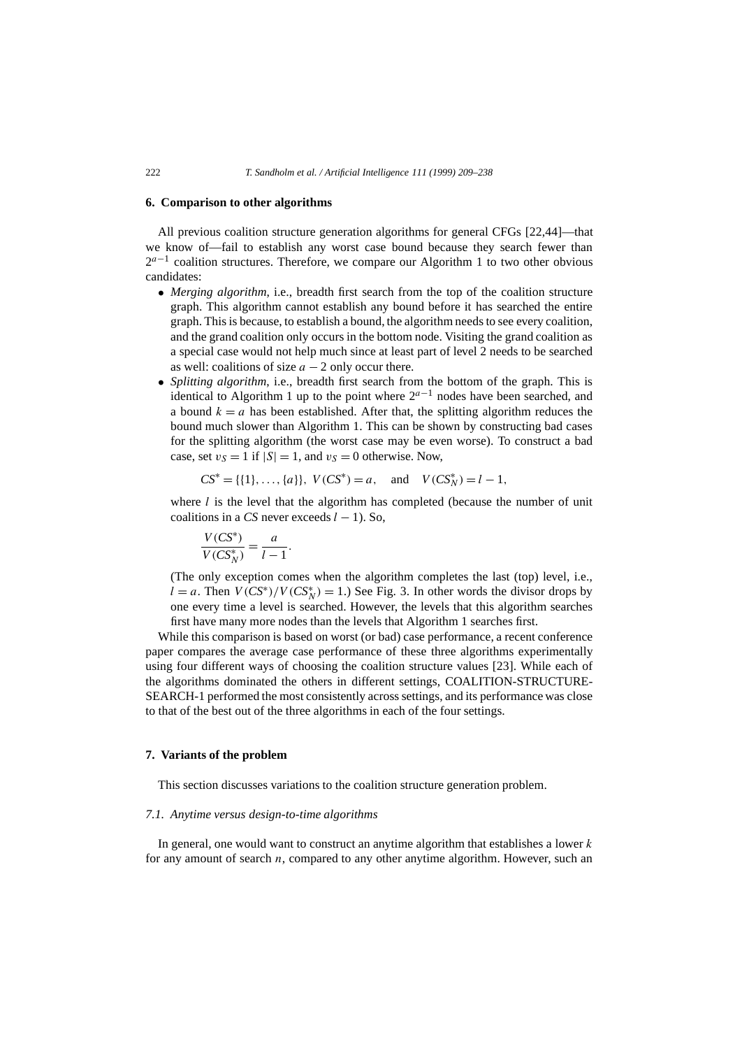### **6. Comparison to other algorithms**

All previous coalition structure generation algorithms for general CFGs [22,44]—that we know of—fail to establish any worst case bound because they search fewer than  $2^{a-1}$  coalition structures. Therefore, we compare our Algorithm 1 to two other obvious candidates:

- *Merging algorithm*, i.e., breadth first search from the top of the coalition structure graph. This algorithm cannot establish any bound before it has searched the entire graph. This is because, to establish a bound, the algorithm needs to see every coalition, and the grand coalition only occurs in the bottom node. Visiting the grand coalition as a special case would not help much since at least part of level 2 needs to be searched as well: coalitions of size  $a - 2$  only occur there.
- *Splitting algorithm*, i.e., breadth first search from the bottom of the graph. This is identical to Algorithm 1 up to the point where  $2^{a-1}$  nodes have been searched, and a bound  $k = a$  has been established. After that, the splitting algorithm reduces the bound much slower than Algorithm 1. This can be shown by constructing bad cases for the splitting algorithm (the worst case may be even worse). To construct a bad case, set  $v_S = 1$  if  $|S| = 1$ , and  $v_S = 0$  otherwise. Now,

$$
CS^* = \{\{1\}, \ldots, \{a\}\}, \ V(CS^*) = a, \text{ and } V(CS_N^*) = l - 1,
$$

where  $l$  is the level that the algorithm has completed (because the number of unit coalitions in a *CS* never exceeds *l* − 1). So,

$$
\frac{V(CS^*)}{V(CS_N^*)} = \frac{a}{l-1}.
$$

(The only exception comes when the algorithm completes the last (top) level, i.e.,  $l = a$ . Then  $V(CS^*)/V(CS_N^*) = 1$ .) See Fig. 3. In other words the divisor drops by one every time a level is searched. However, the levels that this algorithm searches first have many more nodes than the levels that Algorithm 1 searches first.

While this comparison is based on worst (or bad) case performance, a recent conference paper compares the average case performance of these three algorithms experimentally using four different ways of choosing the coalition structure values [23]. While each of the algorithms dominated the others in different settings, COALITION-STRUCTURE-SEARCH-1 performed the most consistently across settings, and its performance was close to that of the best out of the three algorithms in each of the four settings.

#### **7. Variants of the problem**

This section discusses variations to the coalition structure generation problem.

# *7.1. Anytime versus design-to-time algorithms*

In general, one would want to construct an anytime algorithm that establishes a lower *k* for any amount of search *n*, compared to any other anytime algorithm. However, such an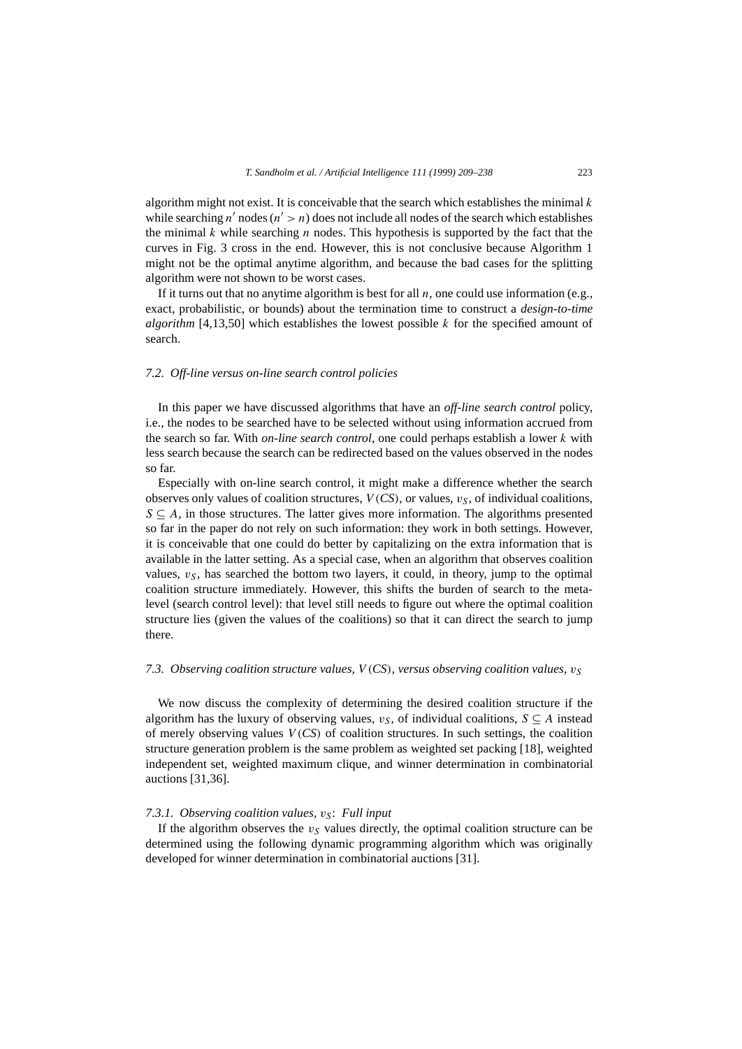algorithm might not exist. It is conceivable that the search which establishes the minimal *k* while searching  $n'$  nodes  $(n' > n)$  does not include all nodes of the search which establishes the minimal *k* while searching *n* nodes. This hypothesis is supported by the fact that the curves in Fig. 3 cross in the end. However, this is not conclusive because Algorithm 1 might not be the optimal anytime algorithm, and because the bad cases for the splitting algorithm were not shown to be worst cases.

If it turns out that no anytime algorithm is best for all  $n$ , one could use information (e.g., exact, probabilistic, or bounds) about the termination time to construct a *design-to-time algorithm* [4,13,50] which establishes the lowest possible *k* for the specified amount of search.

# *7.2. Off-line versus on-line search control policies*

In this paper we have discussed algorithms that have an *off-line search control* policy, i.e., the nodes to be searched have to be selected without using information accrued from the search so far. With *on-line search control*, one could perhaps establish a lower *k* with less search because the search can be redirected based on the values observed in the nodes so far.

Especially with on-line search control, it might make a difference whether the search observes only values of coalition structures,  $V(CS)$ , or values,  $v<sub>S</sub>$ , of individual coalitions,  $S \subseteq A$ , in those structures. The latter gives more information. The algorithms presented so far in the paper do not rely on such information: they work in both settings. However, it is conceivable that one could do better by capitalizing on the extra information that is available in the latter setting. As a special case, when an algorithm that observes coalition values,  $v<sub>S</sub>$ , has searched the bottom two layers, it could, in theory, jump to the optimal coalition structure immediately. However, this shifts the burden of search to the metalevel (search control level): that level still needs to figure out where the optimal coalition structure lies (given the values of the coalitions) so that it can direct the search to jump there.

#### *7.3. Observing coalition structure values,*  $V(CS)$ *, versus observing coalition values,*  $v_S$

We now discuss the complexity of determining the desired coalition structure if the algorithm has the luxury of observing values,  $v_s$ , of individual coalitions,  $S \subseteq A$  instead of merely observing values  $V(CS)$  of coalition structures. In such settings, the coalition structure generation problem is the same problem as weighted set packing [18], weighted independent set, weighted maximum clique, and winner determination in combinatorial auctions [31,36].

#### *7.3.1. Observing coalition values, vs: Full input*

If the algorithm observes the  $v<sub>S</sub>$  values directly, the optimal coalition structure can be determined using the following dynamic programming algorithm which was originally developed for winner determination in combinatorial auctions [31].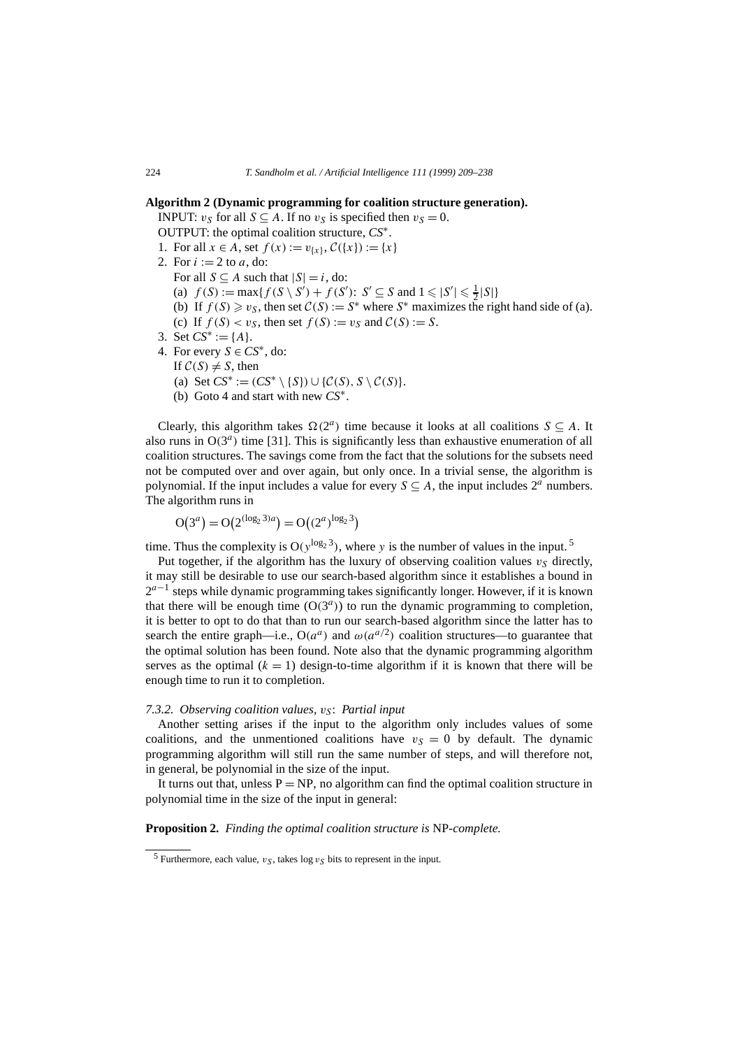# **Algorithm 2 (Dynamic programming for coalition structure generation).**

INPUT: *v<sub>S</sub>* for all  $S \subseteq A$ . If no *v<sub>S</sub>* is specified then  $v_S = 0$ .

OUTPUT: the optimal coalition structure, *CS*∗.

- 1. For all  $x \in A$ , set  $f(x) := v_{x}$ ,  $C({x}) := {x}$
- 2. For  $i := 2$  to  $a$ , do:
	- For all  $S \subseteq A$  such that  $|S| = i$ , do:
	- (a)  $f(S) := \max\{f(S \setminus S') + f(S') : S' \subseteq S \text{ and } 1 \leq |S'| \leq \frac{1}{2}|S|\}$
	- (b) If  $f(S) \ge v_S$ , then set  $C(S) := S^*$  where  $S^*$  maximizes the right hand side of (a).
	- (c) If  $f(S) < v_S$ , then set  $f(S) := v_S$  and  $C(S) := S$ .
- 3. Set  $CS^* := \{A\}.$
- 4. For every  $S \in CS^*$ , do:
	- If  $C(S) \neq S$ , then
	- (a) Set  $CS^* := (CS^* \setminus \{S\}) \cup \{C(S), S \setminus C(S)\}.$
	- (b) Goto 4 and start with new *CS*∗.

Clearly, this algorithm takes  $\Omega(2^a)$  time because it looks at all coalitions  $S \subseteq A$ . It also runs in O*(*3*a)* time [31]. This is significantly less than exhaustive enumeration of all coalition structures. The savings come from the fact that the solutions for the subsets need not be computed over and over again, but only once. In a trivial sense, the algorithm is polynomial. If the input includes a value for every  $S \subseteq A$ , the input includes  $2^a$  numbers. The algorithm runs in

$$
O(3^a) = O(2^{(\log_2 3)a}) = O((2^a)^{\log_2 3})
$$

time. Thus the complexity is  $O(y^{\log_2 3})$ , where *y* is the number of values in the input.<sup>5</sup>

Put together, if the algorithm has the luxury of observing coalition values  $v_S$  directly, it may still be desirable to use our search-based algorithm since it establishes a bound in 2*a*−<sup>1</sup> steps while dynamic programming takes significantly longer. However, if it is known that there will be enough time  $(O(3<sup>a</sup>))$  to run the dynamic programming to completion, it is better to opt to do that than to run our search-based algorithm since the latter has to search the entire graph—i.e.,  $O(a^a)$  and  $\omega(a^{a/2})$  coalition structures—to guarantee that the optimal solution has been found. Note also that the dynamic programming algorithm serves as the optimal  $(k = 1)$  design-to-time algorithm if it is known that there will be enough time to run it to completion.

#### *7.3.2. Observing coalition values, v<sub>S</sub>: Partial input*

Another setting arises if the input to the algorithm only includes values of some coalitions, and the unmentioned coalitions have  $v_S = 0$  by default. The dynamic programming algorithm will still run the same number of steps, and will therefore not, in general, be polynomial in the size of the input.

It turns out that, unless  $P = NP$ , no algorithm can find the optimal coalition structure in polynomial time in the size of the input in general:

**Proposition 2.** *Finding the optimal coalition structure is* NP*-complete.*

<sup>&</sup>lt;sup>5</sup> Furthermore, each value,  $v_S$ , takes  $\log v_S$  bits to represent in the input.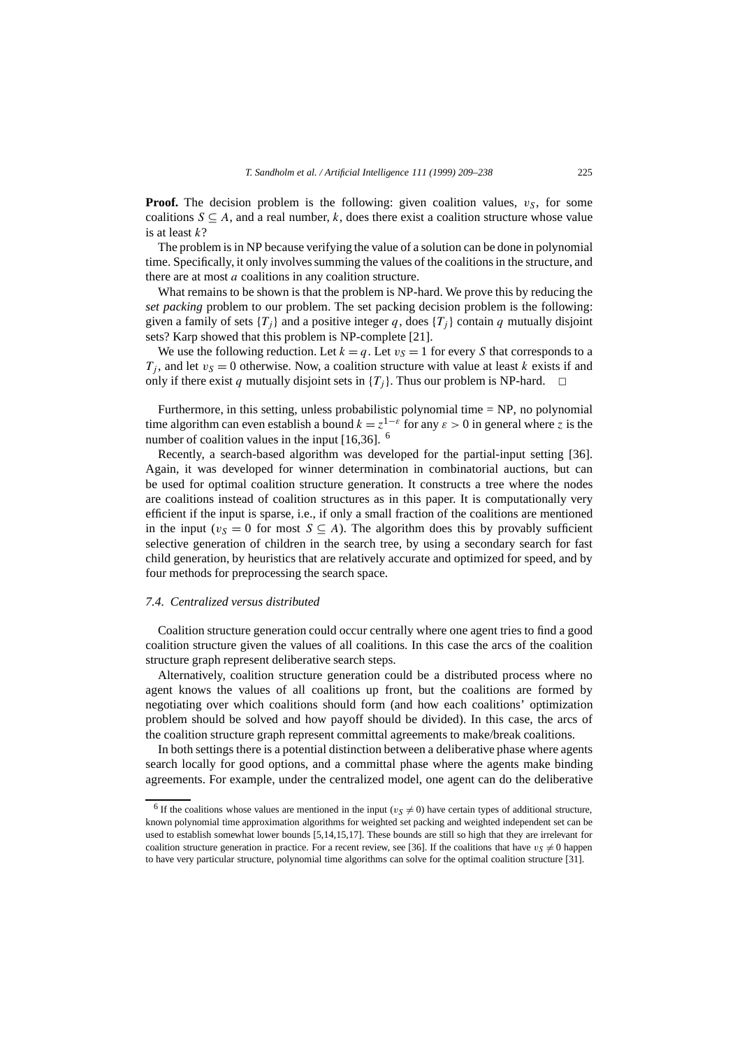**Proof.** The decision problem is the following: given coalition values,  $v_s$ , for some coalitions  $S \subseteq A$ , and a real number, k, does there exist a coalition structure whose value is at least *k*?

The problem is in NP because verifying the value of a solution can be done in polynomial time. Specifically, it only involves summing the values of the coalitions in the structure, and there are at most *a* coalitions in any coalition structure.

What remains to be shown is that the problem is NP-hard. We prove this by reducing the *set packing* problem to our problem. The set packing decision problem is the following: given a family of sets  ${T_i}$  and a positive integer q, does  ${T_i}$  contain q mutually disjoint sets? Karp showed that this problem is NP-complete [21].

We use the following reduction. Let  $k = q$ . Let  $v<sub>S</sub> = 1$  for every *S* that corresponds to a  $T_i$ , and let  $v_s = 0$  otherwise. Now, a coalition structure with value at least *k* exists if and only if there exist *q* mutually disjoint sets in  ${T_i}$ . Thus our problem is NP-hard.  $\Box$ 

Furthermore, in this setting, unless probabilistic polynomial time = NP, no polynomial time algorithm can even establish a bound  $k = z^{1-\epsilon}$  for any  $\epsilon > 0$  in general where *z* is the number of coalition values in the input  $[16,36]$ . <sup>6</sup>

Recently, a search-based algorithm was developed for the partial-input setting [36]. Again, it was developed for winner determination in combinatorial auctions, but can be used for optimal coalition structure generation. It constructs a tree where the nodes are coalitions instead of coalition structures as in this paper. It is computationally very efficient if the input is sparse, i.e., if only a small fraction of the coalitions are mentioned in the input ( $v_S = 0$  for most  $S \subseteq A$ ). The algorithm does this by provably sufficient selective generation of children in the search tree, by using a secondary search for fast child generation, by heuristics that are relatively accurate and optimized for speed, and by four methods for preprocessing the search space.

### *7.4. Centralized versus distributed*

Coalition structure generation could occur centrally where one agent tries to find a good coalition structure given the values of all coalitions. In this case the arcs of the coalition structure graph represent deliberative search steps.

Alternatively, coalition structure generation could be a distributed process where no agent knows the values of all coalitions up front, but the coalitions are formed by negotiating over which coalitions should form (and how each coalitions' optimization problem should be solved and how payoff should be divided). In this case, the arcs of the coalition structure graph represent committal agreements to make/break coalitions.

In both settings there is a potential distinction between a deliberative phase where agents search locally for good options, and a committal phase where the agents make binding agreements. For example, under the centralized model, one agent can do the deliberative

<sup>&</sup>lt;sup>6</sup> If the coalitions whose values are mentioned in the input ( $v<sub>S</sub> \neq 0$ ) have certain types of additional structure, known polynomial time approximation algorithms for weighted set packing and weighted independent set can be used to establish somewhat lower bounds [5,14,15,17]. These bounds are still so high that they are irrelevant for coalition structure generation in practice. For a recent review, see [36]. If the coalitions that have  $v_s \neq 0$  happen to have very particular structure, polynomial time algorithms can solve for the optimal coalition structure [31].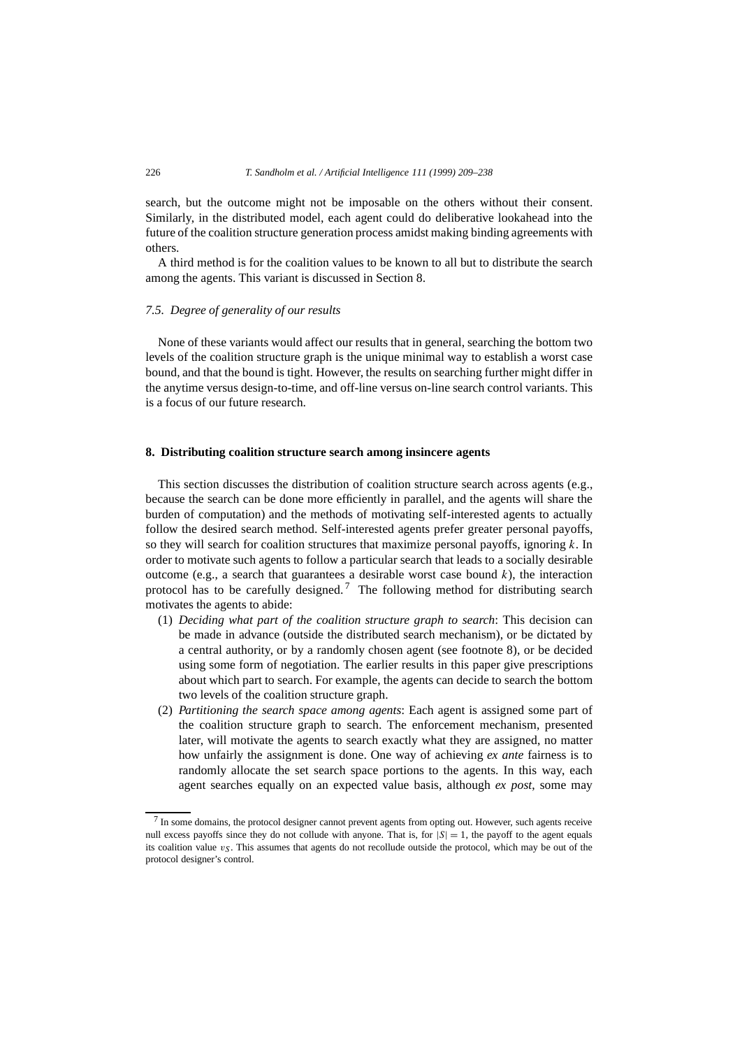search, but the outcome might not be imposable on the others without their consent. Similarly, in the distributed model, each agent could do deliberative lookahead into the future of the coalition structure generation process amidst making binding agreements with others.

A third method is for the coalition values to be known to all but to distribute the search among the agents. This variant is discussed in Section 8.

# *7.5. Degree of generality of our results*

None of these variants would affect our results that in general, searching the bottom two levels of the coalition structure graph is the unique minimal way to establish a worst case bound, and that the bound is tight. However, the results on searching further might differ in the anytime versus design-to-time, and off-line versus on-line search control variants. This is a focus of our future research.

#### **8. Distributing coalition structure search among insincere agents**

This section discusses the distribution of coalition structure search across agents (e.g., because the search can be done more efficiently in parallel, and the agents will share the burden of computation) and the methods of motivating self-interested agents to actually follow the desired search method. Self-interested agents prefer greater personal payoffs, so they will search for coalition structures that maximize personal payoffs, ignoring *k*. In order to motivate such agents to follow a particular search that leads to a socially desirable outcome (e.g., a search that guarantees a desirable worst case bound  $k$ ), the interaction protocol has to be carefully designed.<sup>7</sup> The following method for distributing search motivates the agents to abide:

- (1) *Deciding what part of the coalition structure graph to search*: This decision can be made in advance (outside the distributed search mechanism), or be dictated by a central authority, or by a randomly chosen agent (see footnote 8), or be decided using some form of negotiation. The earlier results in this paper give prescriptions about which part to search. For example, the agents can decide to search the bottom two levels of the coalition structure graph.
- (2) *Partitioning the search space among agents*: Each agent is assigned some part of the coalition structure graph to search. The enforcement mechanism, presented later, will motivate the agents to search exactly what they are assigned, no matter how unfairly the assignment is done. One way of achieving *ex ante* fairness is to randomly allocate the set search space portions to the agents. In this way, each agent searches equally on an expected value basis, although *ex post*, some may

<sup>7</sup> In some domains, the protocol designer cannot prevent agents from opting out. However, such agents receive null excess payoffs since they do not collude with anyone. That is, for  $|S| = 1$ , the payoff to the agent equals its coalition value *v<sub>S</sub>*. This assumes that agents do not recollude outside the protocol, which may be out of the protocol designer's control.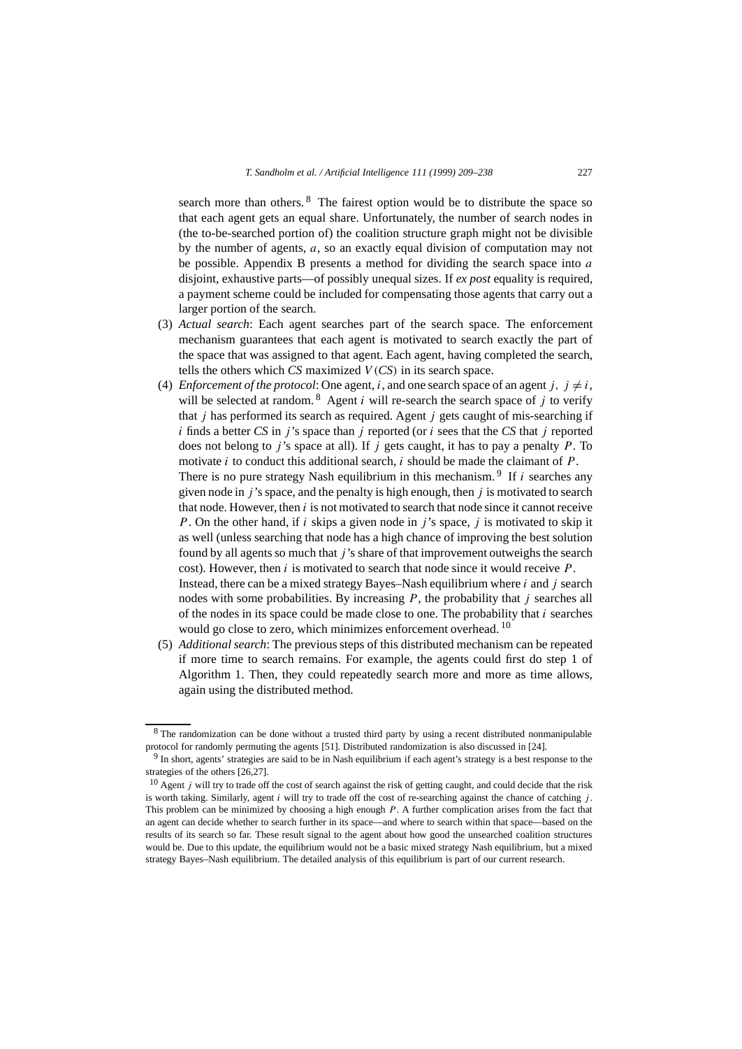search more than others.  $8$  The fairest option would be to distribute the space so that each agent gets an equal share. Unfortunately, the number of search nodes in (the to-be-searched portion of) the coalition structure graph might not be divisible by the number of agents, *a*, so an exactly equal division of computation may not be possible. Appendix B presents a method for dividing the search space into *a* disjoint, exhaustive parts—of possibly unequal sizes. If *ex post* equality is required, a payment scheme could be included for compensating those agents that carry out a larger portion of the search.

- (3) *Actual search*: Each agent searches part of the search space. The enforcement mechanism guarantees that each agent is motivated to search exactly the part of the space that was assigned to that agent. Each agent, having completed the search, tells the others which *CS* maximized *V (CS)* in its search space.
- (4) *Enforcement of the protocol:* One agent, *i*, and one search space of an agent *j*,  $j \neq i$ , will be selected at random. <sup>8</sup> Agent *i* will re-search the search space of *j* to verify that *j* has performed its search as required. Agent *j* gets caught of mis-searching if *i* finds a better *CS* in *j* 's space than *j* reported (or *i* sees that the *CS* that *j* reported does not belong to *j* 's space at all). If *j* gets caught, it has to pay a penalty *P*. To motivate *i* to conduct this additional search, *i* should be made the claimant of *P*. There is no pure strategy Nash equilibrium in this mechanism.<sup>9</sup> If  $i$  searches any given node in *j* 's space, and the penalty is high enough, then *j* is motivated to search that node. However, then *i* is not motivated to search that node since it cannot receive *P*. On the other hand, if *i* skips a given node in *j* 's space, *j* is motivated to skip it as well (unless searching that node has a high chance of improving the best solution found by all agents so much that *j* 's share of that improvement outweighs the search cost). However, then *i* is motivated to search that node since it would receive *P*. Instead, there can be a mixed strategy Bayes–Nash equilibrium where *i* and *j* search nodes with some probabilities. By increasing  $P$ , the probability that  $j$  searches all of the nodes in its space could be made close to one. The probability that *i* searches
- (5) *Additional search*: The previous steps of this distributed mechanism can be repeated if more time to search remains. For example, the agents could first do step 1 of Algorithm 1. Then, they could repeatedly search more and more as time allows, again using the distributed method.

would go close to zero, which minimizes enforcement overhead.<sup>10</sup>

<sup>&</sup>lt;sup>8</sup> The randomization can be done without a trusted third party by using a recent distributed nonmanipulable protocol for randomly permuting the agents [51]. Distributed randomization is also discussed in [24].

<sup>9</sup> In short, agents' strategies are said to be in Nash equilibrium if each agent's strategy is a best response to the strategies of the others [26,27].

<sup>10</sup> Agent *j* will try to trade off the cost of search against the risk of getting caught, and could decide that the risk is worth taking. Similarly, agent *i* will try to trade off the cost of re-searching against the chance of catching *j* . This problem can be minimized by choosing a high enough *P* . A further complication arises from the fact that an agent can decide whether to search further in its space—and where to search within that space—based on the results of its search so far. These result signal to the agent about how good the unsearched coalition structures would be. Due to this update, the equilibrium would not be a basic mixed strategy Nash equilibrium, but a mixed strategy Bayes–Nash equilibrium. The detailed analysis of this equilibrium is part of our current research.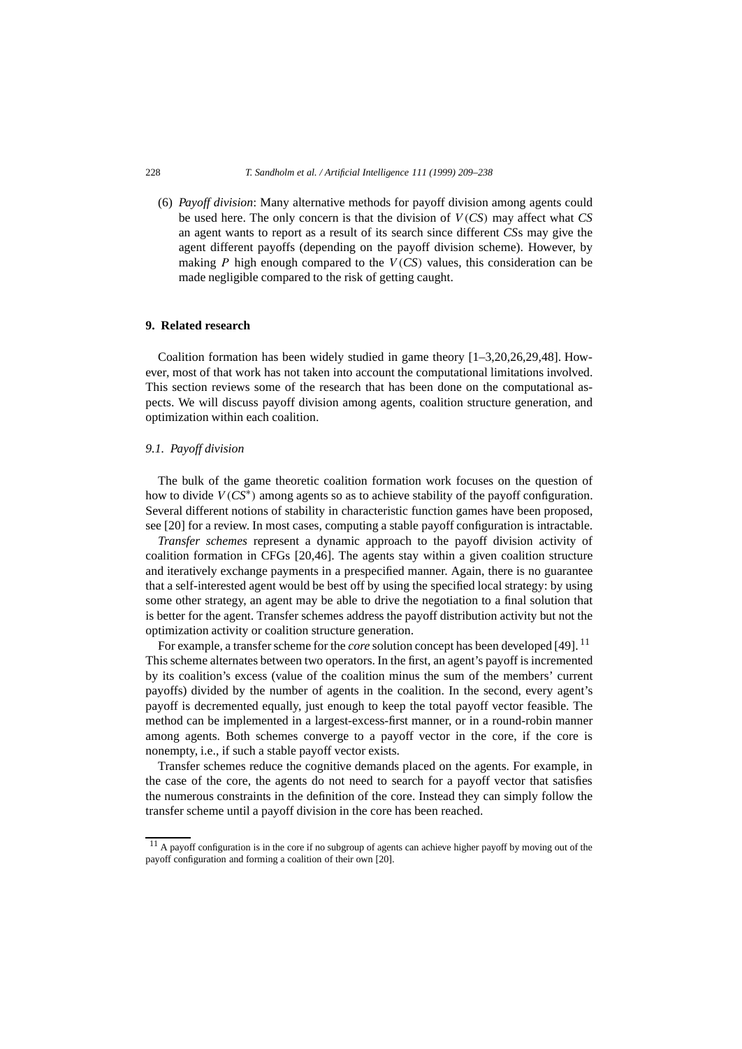(6) *Payoff division*: Many alternative methods for payoff division among agents could be used here. The only concern is that the division of *V (CS)* may affect what *CS* an agent wants to report as a result of its search since different *CS*s may give the agent different payoffs (depending on the payoff division scheme). However, by making  $P$  high enough compared to the  $V(CS)$  values, this consideration can be made negligible compared to the risk of getting caught.

# **9. Related research**

Coalition formation has been widely studied in game theory [1–3,20,26,29,48]. However, most of that work has not taken into account the computational limitations involved. This section reviews some of the research that has been done on the computational aspects. We will discuss payoff division among agents, coalition structure generation, and optimization within each coalition.

# *9.1. Payoff division*

The bulk of the game theoretic coalition formation work focuses on the question of how to divide *V (CS*∗*)* among agents so as to achieve stability of the payoff configuration. Several different notions of stability in characteristic function games have been proposed, see [20] for a review. In most cases, computing a stable payoff configuration is intractable.

*Transfer schemes* represent a dynamic approach to the payoff division activity of coalition formation in CFGs [20,46]. The agents stay within a given coalition structure and iteratively exchange payments in a prespecified manner. Again, there is no guarantee that a self-interested agent would be best off by using the specified local strategy: by using some other strategy, an agent may be able to drive the negotiation to a final solution that is better for the agent. Transfer schemes address the payoff distribution activity but not the optimization activity or coalition structure generation.

For example, a transfer scheme for the *core* solution concept has been developed [49]. <sup>11</sup> This scheme alternates between two operators. In the first, an agent's payoff is incremented by its coalition's excess (value of the coalition minus the sum of the members' current payoffs) divided by the number of agents in the coalition. In the second, every agent's payoff is decremented equally, just enough to keep the total payoff vector feasible. The method can be implemented in a largest-excess-first manner, or in a round-robin manner among agents. Both schemes converge to a payoff vector in the core, if the core is nonempty, i.e., if such a stable payoff vector exists.

Transfer schemes reduce the cognitive demands placed on the agents. For example, in the case of the core, the agents do not need to search for a payoff vector that satisfies the numerous constraints in the definition of the core. Instead they can simply follow the transfer scheme until a payoff division in the core has been reached.

<sup>&</sup>lt;sup>11</sup> A payoff configuration is in the core if no subgroup of agents can achieve higher payoff by moving out of the payoff configuration and forming a coalition of their own [20].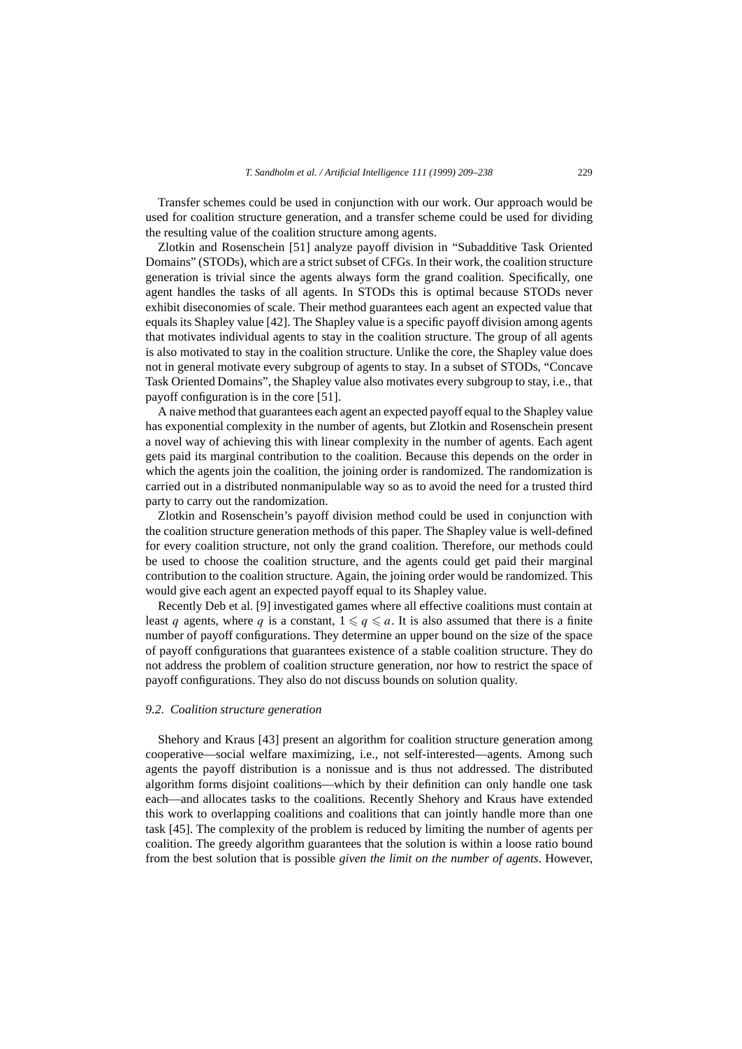Transfer schemes could be used in conjunction with our work. Our approach would be used for coalition structure generation, and a transfer scheme could be used for dividing the resulting value of the coalition structure among agents.

Zlotkin and Rosenschein [51] analyze payoff division in "Subadditive Task Oriented Domains" (STODs), which are a strict subset of CFGs. In their work, the coalition structure generation is trivial since the agents always form the grand coalition. Specifically, one agent handles the tasks of all agents. In STODs this is optimal because STODs never exhibit diseconomies of scale. Their method guarantees each agent an expected value that equals its Shapley value [42]. The Shapley value is a specific payoff division among agents that motivates individual agents to stay in the coalition structure. The group of all agents is also motivated to stay in the coalition structure. Unlike the core, the Shapley value does not in general motivate every subgroup of agents to stay. In a subset of STODs, "Concave Task Oriented Domains", the Shapley value also motivates every subgroup to stay, i.e., that payoff configuration is in the core [51].

A naive method that guarantees each agent an expected payoff equal to the Shapley value has exponential complexity in the number of agents, but Zlotkin and Rosenschein present a novel way of achieving this with linear complexity in the number of agents. Each agent gets paid its marginal contribution to the coalition. Because this depends on the order in which the agents join the coalition, the joining order is randomized. The randomization is carried out in a distributed nonmanipulable way so as to avoid the need for a trusted third party to carry out the randomization.

Zlotkin and Rosenschein's payoff division method could be used in conjunction with the coalition structure generation methods of this paper. The Shapley value is well-defined for every coalition structure, not only the grand coalition. Therefore, our methods could be used to choose the coalition structure, and the agents could get paid their marginal contribution to the coalition structure. Again, the joining order would be randomized. This would give each agent an expected payoff equal to its Shapley value.

Recently Deb et al. [9] investigated games where all effective coalitions must contain at least *q* agents, where *q* is a constant,  $1 \leq q \leq a$ . It is also assumed that there is a finite number of payoff configurations. They determine an upper bound on the size of the space of payoff configurations that guarantees existence of a stable coalition structure. They do not address the problem of coalition structure generation, nor how to restrict the space of payoff configurations. They also do not discuss bounds on solution quality.

#### *9.2. Coalition structure generation*

Shehory and Kraus [43] present an algorithm for coalition structure generation among cooperative—social welfare maximizing, i.e., not self-interested—agents. Among such agents the payoff distribution is a nonissue and is thus not addressed. The distributed algorithm forms disjoint coalitions—which by their definition can only handle one task each—and allocates tasks to the coalitions. Recently Shehory and Kraus have extended this work to overlapping coalitions and coalitions that can jointly handle more than one task [45]. The complexity of the problem is reduced by limiting the number of agents per coalition. The greedy algorithm guarantees that the solution is within a loose ratio bound from the best solution that is possible *given the limit on the number of agents*. However,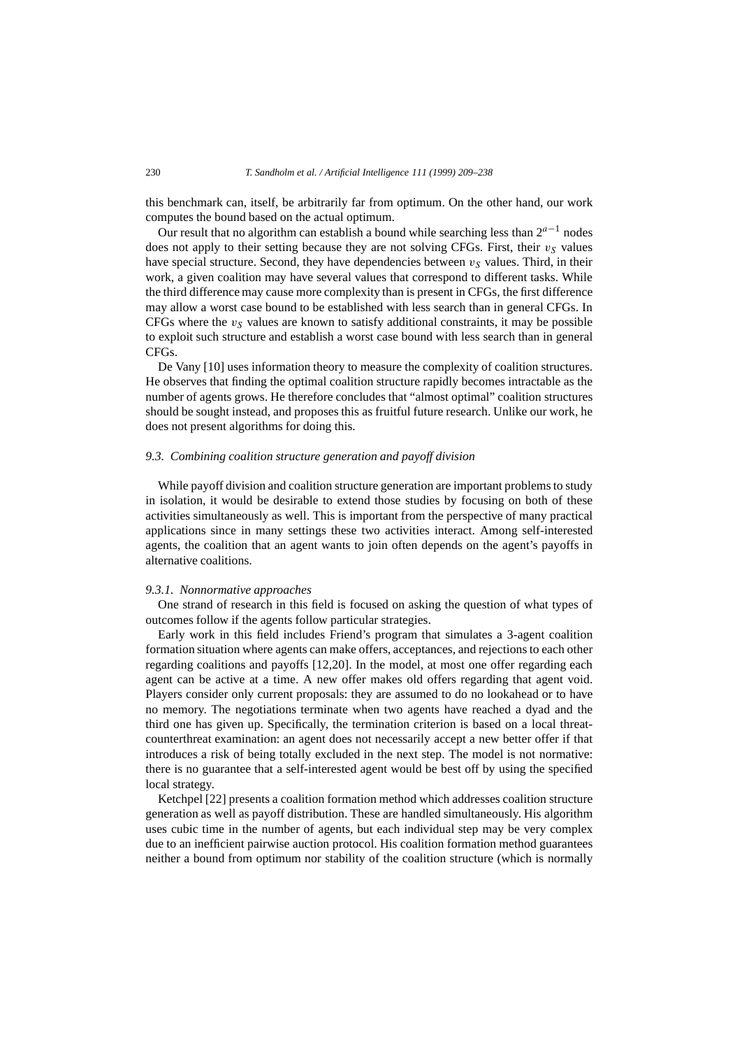this benchmark can, itself, be arbitrarily far from optimum. On the other hand, our work computes the bound based on the actual optimum.

Our result that no algorithm can establish a bound while searching less than  $2^{a-1}$  nodes does not apply to their setting because they are not solving CFGs. First, their  $v<sub>S</sub>$  values have special structure. Second, they have dependencies between  $v<sub>S</sub>$  values. Third, in their work, a given coalition may have several values that correspond to different tasks. While the third difference may cause more complexity than is present in CFGs, the first difference may allow a worst case bound to be established with less search than in general CFGs. In CFGs where the  $v<sub>S</sub>$  values are known to satisfy additional constraints, it may be possible to exploit such structure and establish a worst case bound with less search than in general CFGs.

De Vany [10] uses information theory to measure the complexity of coalition structures. He observes that finding the optimal coalition structure rapidly becomes intractable as the number of agents grows. He therefore concludes that "almost optimal" coalition structures should be sought instead, and proposes this as fruitful future research. Unlike our work, he does not present algorithms for doing this.

# *9.3. Combining coalition structure generation and payoff division*

While payoff division and coalition structure generation are important problems to study in isolation, it would be desirable to extend those studies by focusing on both of these activities simultaneously as well. This is important from the perspective of many practical applications since in many settings these two activities interact. Among self-interested agents, the coalition that an agent wants to join often depends on the agent's payoffs in alternative coalitions.

#### *9.3.1. Nonnormative approaches*

One strand of research in this field is focused on asking the question of what types of outcomes follow if the agents follow particular strategies.

Early work in this field includes Friend's program that simulates a 3-agent coalition formation situation where agents can make offers, acceptances, and rejections to each other regarding coalitions and payoffs [12,20]. In the model, at most one offer regarding each agent can be active at a time. A new offer makes old offers regarding that agent void. Players consider only current proposals: they are assumed to do no lookahead or to have no memory. The negotiations terminate when two agents have reached a dyad and the third one has given up. Specifically, the termination criterion is based on a local threatcounterthreat examination: an agent does not necessarily accept a new better offer if that introduces a risk of being totally excluded in the next step. The model is not normative: there is no guarantee that a self-interested agent would be best off by using the specified local strategy.

Ketchpel [22] presents a coalition formation method which addresses coalition structure generation as well as payoff distribution. These are handled simultaneously. His algorithm uses cubic time in the number of agents, but each individual step may be very complex due to an inefficient pairwise auction protocol. His coalition formation method guarantees neither a bound from optimum nor stability of the coalition structure (which is normally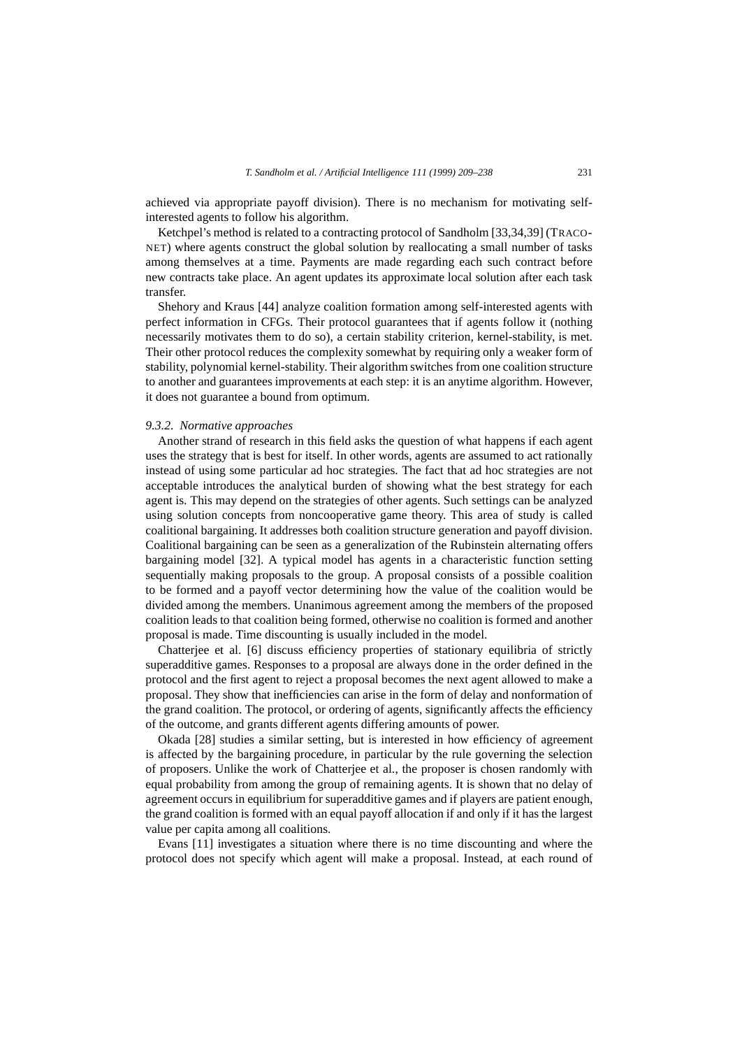achieved via appropriate payoff division). There is no mechanism for motivating selfinterested agents to follow his algorithm.

Ketchpel's method is related to a contracting protocol of Sandholm [33,34,39] (TRACO-NET) where agents construct the global solution by reallocating a small number of tasks among themselves at a time. Payments are made regarding each such contract before new contracts take place. An agent updates its approximate local solution after each task transfer.

Shehory and Kraus [44] analyze coalition formation among self-interested agents with perfect information in CFGs. Their protocol guarantees that if agents follow it (nothing necessarily motivates them to do so), a certain stability criterion, kernel-stability, is met. Their other protocol reduces the complexity somewhat by requiring only a weaker form of stability, polynomial kernel-stability. Their algorithm switches from one coalition structure to another and guarantees improvements at each step: it is an anytime algorithm. However, it does not guarantee a bound from optimum.

#### *9.3.2. Normative approaches*

Another strand of research in this field asks the question of what happens if each agent uses the strategy that is best for itself. In other words, agents are assumed to act rationally instead of using some particular ad hoc strategies. The fact that ad hoc strategies are not acceptable introduces the analytical burden of showing what the best strategy for each agent is. This may depend on the strategies of other agents. Such settings can be analyzed using solution concepts from noncooperative game theory. This area of study is called coalitional bargaining. It addresses both coalition structure generation and payoff division. Coalitional bargaining can be seen as a generalization of the Rubinstein alternating offers bargaining model [32]. A typical model has agents in a characteristic function setting sequentially making proposals to the group. A proposal consists of a possible coalition to be formed and a payoff vector determining how the value of the coalition would be divided among the members. Unanimous agreement among the members of the proposed coalition leads to that coalition being formed, otherwise no coalition is formed and another proposal is made. Time discounting is usually included in the model.

Chatterjee et al. [6] discuss efficiency properties of stationary equilibria of strictly superadditive games. Responses to a proposal are always done in the order defined in the protocol and the first agent to reject a proposal becomes the next agent allowed to make a proposal. They show that inefficiencies can arise in the form of delay and nonformation of the grand coalition. The protocol, or ordering of agents, significantly affects the efficiency of the outcome, and grants different agents differing amounts of power.

Okada [28] studies a similar setting, but is interested in how efficiency of agreement is affected by the bargaining procedure, in particular by the rule governing the selection of proposers. Unlike the work of Chatterjee et al., the proposer is chosen randomly with equal probability from among the group of remaining agents. It is shown that no delay of agreement occurs in equilibrium for superadditive games and if players are patient enough, the grand coalition is formed with an equal payoff allocation if and only if it has the largest value per capita among all coalitions.

Evans [11] investigates a situation where there is no time discounting and where the protocol does not specify which agent will make a proposal. Instead, at each round of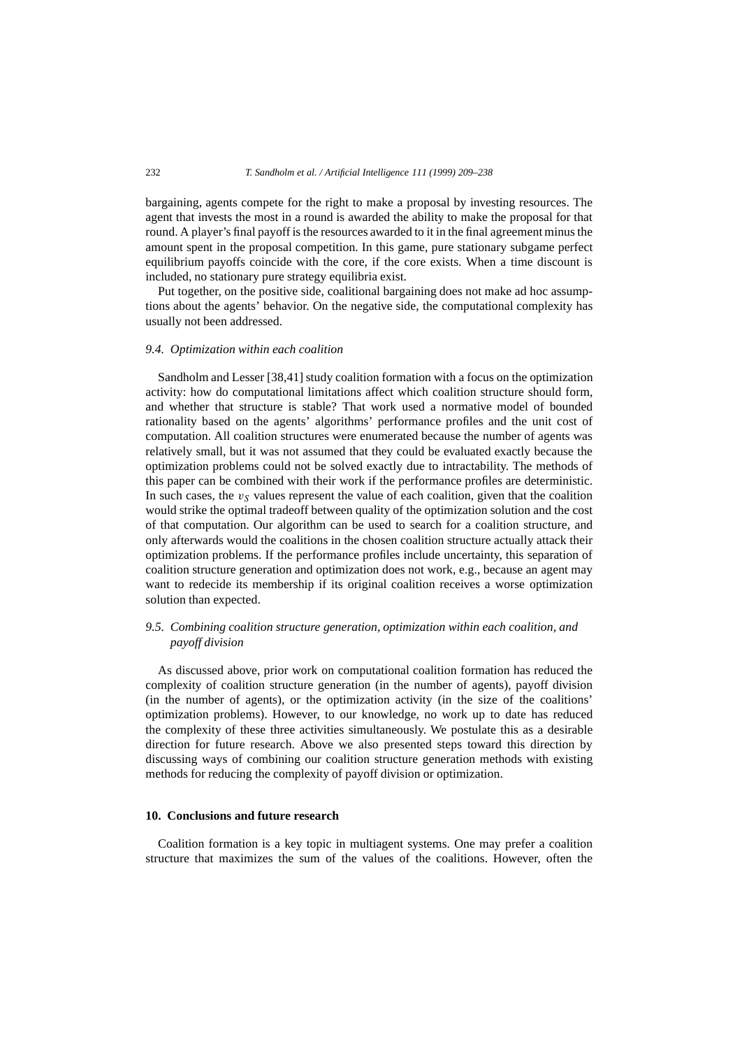bargaining, agents compete for the right to make a proposal by investing resources. The agent that invests the most in a round is awarded the ability to make the proposal for that round. A player's final payoff is the resources awarded to it in the final agreement minus the amount spent in the proposal competition. In this game, pure stationary subgame perfect equilibrium payoffs coincide with the core, if the core exists. When a time discount is included, no stationary pure strategy equilibria exist.

Put together, on the positive side, coalitional bargaining does not make ad hoc assumptions about the agents' behavior. On the negative side, the computational complexity has usually not been addressed.

#### *9.4. Optimization within each coalition*

Sandholm and Lesser [38,41] study coalition formation with a focus on the optimization activity: how do computational limitations affect which coalition structure should form, and whether that structure is stable? That work used a normative model of bounded rationality based on the agents' algorithms' performance profiles and the unit cost of computation. All coalition structures were enumerated because the number of agents was relatively small, but it was not assumed that they could be evaluated exactly because the optimization problems could not be solved exactly due to intractability. The methods of this paper can be combined with their work if the performance profiles are deterministic. In such cases, the  $v<sub>S</sub>$  values represent the value of each coalition, given that the coalition would strike the optimal tradeoff between quality of the optimization solution and the cost of that computation. Our algorithm can be used to search for a coalition structure, and only afterwards would the coalitions in the chosen coalition structure actually attack their optimization problems. If the performance profiles include uncertainty, this separation of coalition structure generation and optimization does not work, e.g., because an agent may want to redecide its membership if its original coalition receives a worse optimization solution than expected.

# *9.5. Combining coalition structure generation, optimization within each coalition, and payoff division*

As discussed above, prior work on computational coalition formation has reduced the complexity of coalition structure generation (in the number of agents), payoff division (in the number of agents), or the optimization activity (in the size of the coalitions' optimization problems). However, to our knowledge, no work up to date has reduced the complexity of these three activities simultaneously. We postulate this as a desirable direction for future research. Above we also presented steps toward this direction by discussing ways of combining our coalition structure generation methods with existing methods for reducing the complexity of payoff division or optimization.

# **10. Conclusions and future research**

Coalition formation is a key topic in multiagent systems. One may prefer a coalition structure that maximizes the sum of the values of the coalitions. However, often the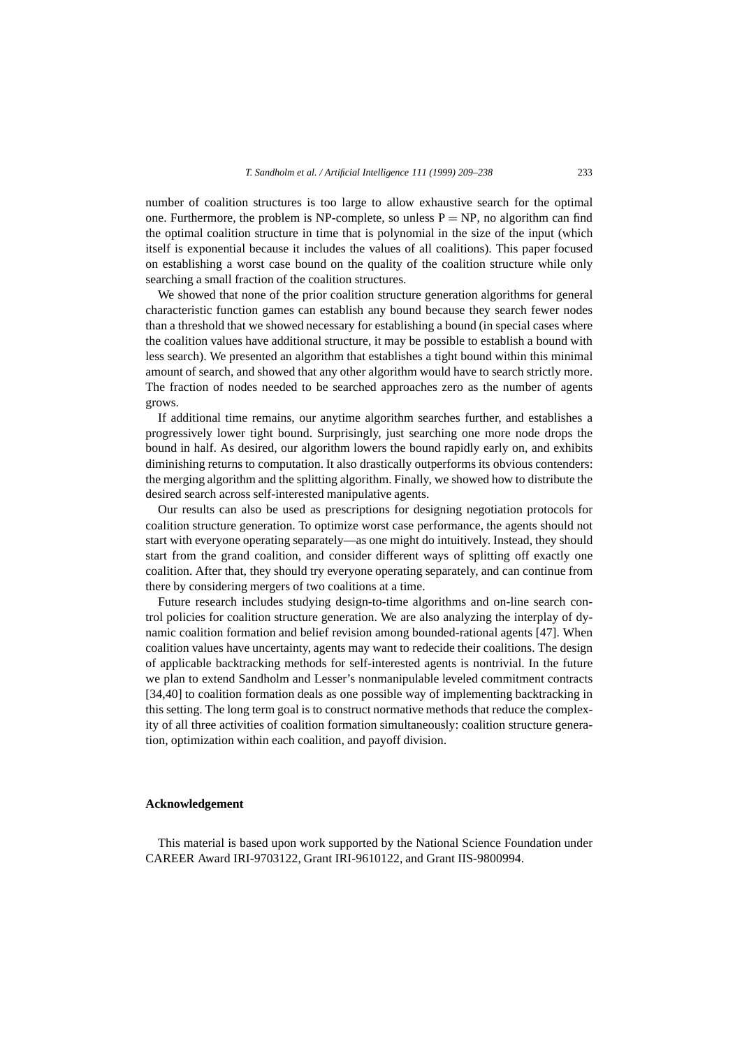number of coalition structures is too large to allow exhaustive search for the optimal one. Furthermore, the problem is NP-complete, so unless  $P = NP$ , no algorithm can find the optimal coalition structure in time that is polynomial in the size of the input (which itself is exponential because it includes the values of all coalitions). This paper focused on establishing a worst case bound on the quality of the coalition structure while only searching a small fraction of the coalition structures.

We showed that none of the prior coalition structure generation algorithms for general characteristic function games can establish any bound because they search fewer nodes than a threshold that we showed necessary for establishing a bound (in special cases where the coalition values have additional structure, it may be possible to establish a bound with less search). We presented an algorithm that establishes a tight bound within this minimal amount of search, and showed that any other algorithm would have to search strictly more. The fraction of nodes needed to be searched approaches zero as the number of agents grows.

If additional time remains, our anytime algorithm searches further, and establishes a progressively lower tight bound. Surprisingly, just searching one more node drops the bound in half. As desired, our algorithm lowers the bound rapidly early on, and exhibits diminishing returns to computation. It also drastically outperforms its obvious contenders: the merging algorithm and the splitting algorithm. Finally, we showed how to distribute the desired search across self-interested manipulative agents.

Our results can also be used as prescriptions for designing negotiation protocols for coalition structure generation. To optimize worst case performance, the agents should not start with everyone operating separately—as one might do intuitively. Instead, they should start from the grand coalition, and consider different ways of splitting off exactly one coalition. After that, they should try everyone operating separately, and can continue from there by considering mergers of two coalitions at a time.

Future research includes studying design-to-time algorithms and on-line search control policies for coalition structure generation. We are also analyzing the interplay of dynamic coalition formation and belief revision among bounded-rational agents [47]. When coalition values have uncertainty, agents may want to redecide their coalitions. The design of applicable backtracking methods for self-interested agents is nontrivial. In the future we plan to extend Sandholm and Lesser's nonmanipulable leveled commitment contracts [34,40] to coalition formation deals as one possible way of implementing backtracking in this setting. The long term goal is to construct normative methods that reduce the complexity of all three activities of coalition formation simultaneously: coalition structure generation, optimization within each coalition, and payoff division.

# **Acknowledgement**

This material is based upon work supported by the National Science Foundation under CAREER Award IRI-9703122, Grant IRI-9610122, and Grant IIS-9800994.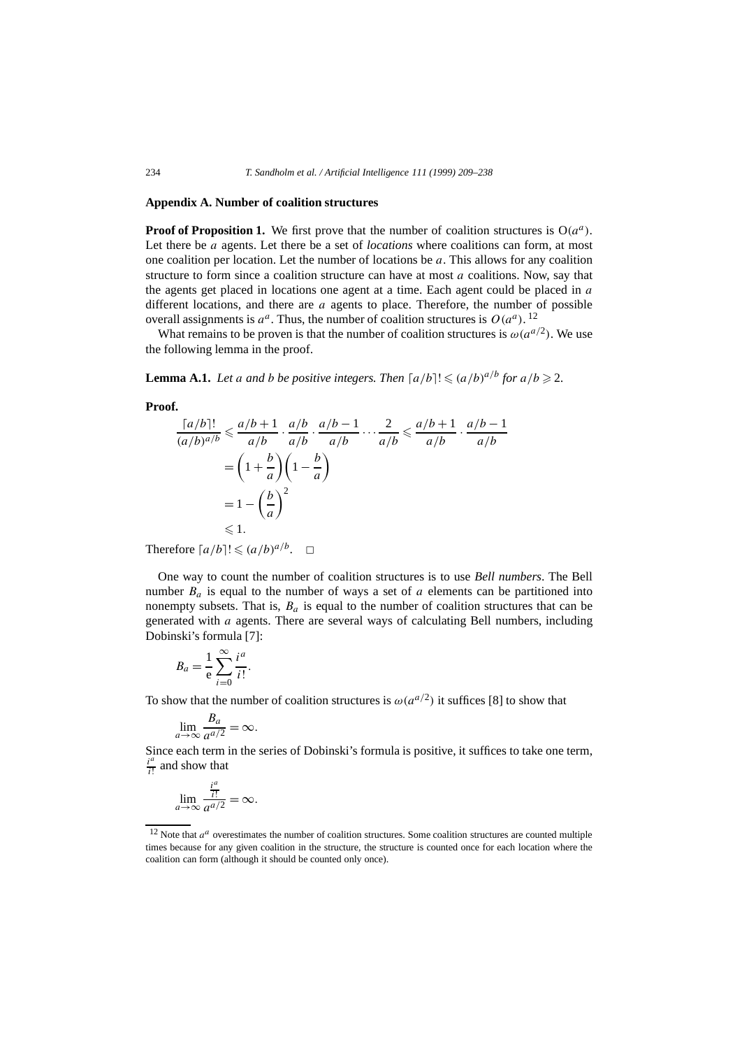# **Appendix A. Number of coalition structures**

**Proof of Proposition 1.** We first prove that the number of coalition structures is  $O(a^a)$ . Let there be *a* agents. Let there be a set of *locations* where coalitions can form, at most one coalition per location. Let the number of locations be *a*. This allows for any coalition structure to form since a coalition structure can have at most *a* coalitions. Now, say that the agents get placed in locations one agent at a time. Each agent could be placed in *a* different locations, and there are *a* agents to place. Therefore, the number of possible overall assignments is  $a^a$ . Thus, the number of coalition structures is  $O(a^a)$ . <sup>12</sup>

What remains to be proven is that the number of coalition structures is  $\omega(a^{a/2})$ . We use the following lemma in the proof.

**Lemma A.1.** *Let a and b be positive integers. Then*  $\lceil a/b \rceil! \leq (a/b)^{a/b}$  *for*  $a/b \geq 2$ *.* 

**Proof.**

$$
\frac{\lceil a/b \rceil!}{(a/b)^{a/b}} \leq \frac{a/b + 1}{a/b} \cdot \frac{a/b}{a/b} \cdot \frac{a/b - 1}{a/b} \cdots \frac{2}{a/b} \leq \frac{a/b + 1}{a/b} \cdot \frac{a/b - 1}{a/b}
$$

$$
= \left(1 + \frac{b}{a}\right) \left(1 - \frac{b}{a}\right)
$$

$$
= 1 - \left(\frac{b}{a}\right)^2
$$

$$
\leq 1.
$$

Therefore  $\lceil a/b \rceil! \leqslant (a/b)^{a/b}$ .  $\Box$ 

One way to count the number of coalition structures is to use *Bell numbers*. The Bell number  $B_a$  is equal to the number of ways a set of  $a$  elements can be partitioned into nonempty subsets. That is,  $B_a$  is equal to the number of coalition structures that can be generated with *a* agents. There are several ways of calculating Bell numbers, including Dobinski's formula [7]:

$$
B_a = \frac{1}{e} \sum_{i=0}^{\infty} \frac{i^a}{i!}.
$$

To show that the number of coalition structures is  $\omega(a^{a/2})$  it suffices [8] to show that

$$
\lim_{a \to \infty} \frac{B_a}{a^{a/2}} = \infty.
$$

Since each term in the series of Dobinski's formula is positive, it suffices to take one term,  $\frac{i^a}{i!}$  and show that

$$
\lim_{a \to \infty} \frac{\frac{i^a}{i!}}{a^{a/2}} = \infty.
$$

 $12$  Note that  $a^a$  overestimates the number of coalition structures. Some coalition structures are counted multiple times because for any given coalition in the structure, the structure is counted once for each location where the coalition can form (although it should be counted only once).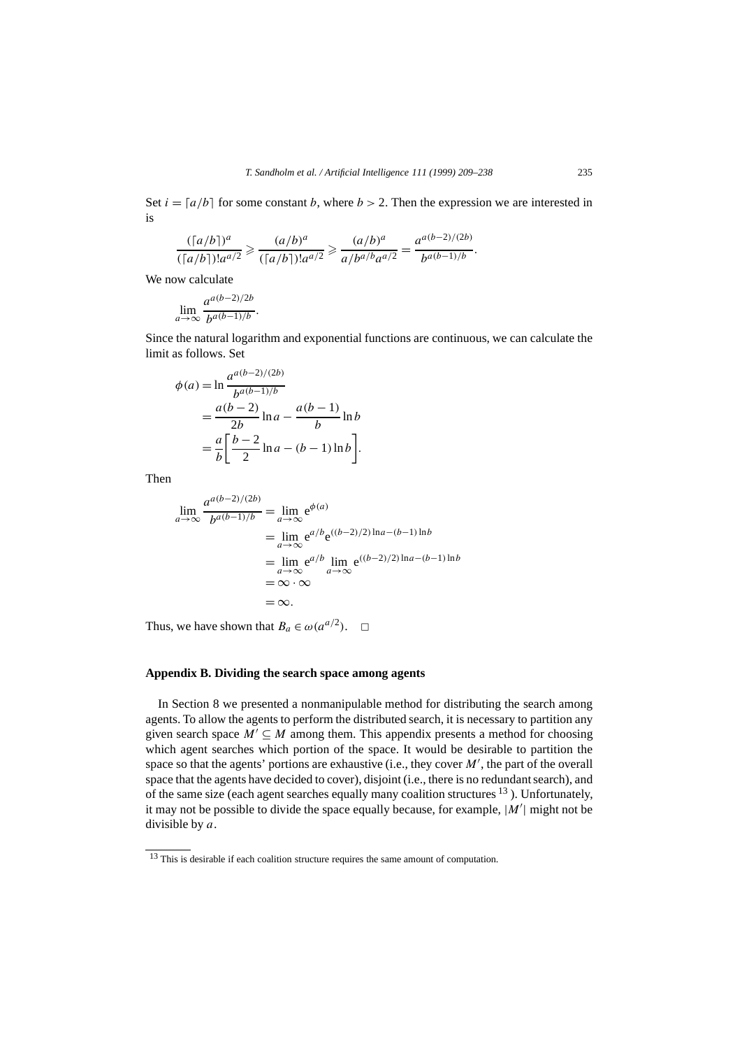Set  $i = \lceil a/b \rceil$  for some constant *b*, where  $b > 2$ . Then the expression we are interested in is

$$
\frac{([a/b])^a}{([a/b])!a^{a/2}} \ge \frac{(a/b)^a}{([a/b])!a^{a/2}} \ge \frac{(a/b)^a}{a/b^{a/b}a^{a/2}} = \frac{a^{a(b-2)/(2b)}}{b^{a(b-1)/b}}.
$$

We now calculate

$$
\lim_{a\to\infty}\frac{a^{a(b-2)/2b}}{b^{a(b-1)/b}}.
$$

Since the natural logarithm and exponential functions are continuous, we can calculate the limit as follows. Set

$$
\phi(a) = \ln \frac{a^{a(b-2)/(2b)}}{b^{a(b-1)/b}}
$$
  
=  $\frac{a(b-2)}{2b} \ln a - \frac{a(b-1)}{b} \ln b$   
=  $\frac{a}{b} \left[ \frac{b-2}{2} \ln a - (b-1) \ln b \right].$ 

Then

$$
\lim_{a \to \infty} \frac{a^{a(b-2)/(2b)}}{b^{a(b-1)/b}} = \lim_{a \to \infty} e^{\phi(a)}
$$
  
= 
$$
\lim_{a \to \infty} e^{a/b} e^{((b-2)/2) \ln a - (b-1) \ln b}
$$
  
= 
$$
\lim_{a \to \infty} e^{a/b} \lim_{a \to \infty} e^{((b-2)/2) \ln a - (b-1) \ln b}
$$
  
= 
$$
\infty \cdot \infty
$$
  
= 
$$
\infty.
$$

Thus, we have shown that  $B_a \in \omega(a^{a/2})$ .  $\Box$ 

# **Appendix B. Dividing the search space among agents**

In Section 8 we presented a nonmanipulable method for distributing the search among agents. To allow the agents to perform the distributed search, it is necessary to partition any given search space  $M' \subseteq M$  among them. This appendix presents a method for choosing which agent searches which portion of the space. It would be desirable to partition the space so that the agents' portions are exhaustive (i.e., they cover  $M'$ , the part of the overall space that the agents have decided to cover), disjoint (i.e., there is no redundant search), and of the same size (each agent searches equally many coalition structures <sup>13</sup> ). Unfortunately, it may not be possible to divide the space equally because, for example,  $|M'|$  might not be divisible by *a*.

<sup>&</sup>lt;sup>13</sup> This is desirable if each coalition structure requires the same amount of computation.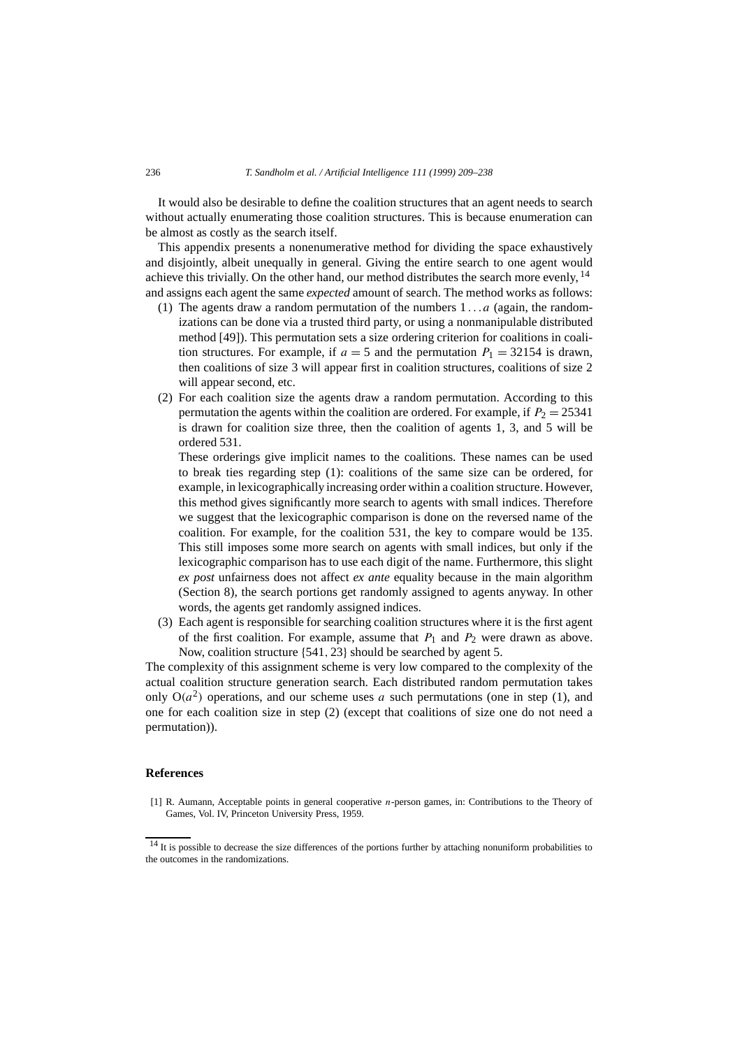It would also be desirable to define the coalition structures that an agent needs to search without actually enumerating those coalition structures. This is because enumeration can be almost as costly as the search itself.

This appendix presents a nonenumerative method for dividing the space exhaustively and disjointly, albeit unequally in general. Giving the entire search to one agent would achieve this trivially. On the other hand, our method distributes the search more evenly,  $14$ and assigns each agent the same *expected* amount of search. The method works as follows:

- (1) The agents draw a random permutation of the numbers 1 *...a* (again, the randomizations can be done via a trusted third party, or using a nonmanipulable distributed method [49]). This permutation sets a size ordering criterion for coalitions in coalition structures. For example, if  $a = 5$  and the permutation  $P_1 = 32154$  is drawn, then coalitions of size 3 will appear first in coalition structures, coalitions of size 2 will appear second, etc.
- (2) For each coalition size the agents draw a random permutation. According to this permutation the agents within the coalition are ordered. For example, if  $P_2 = 25341$ is drawn for coalition size three, then the coalition of agents 1, 3, and 5 will be ordered 531.

These orderings give implicit names to the coalitions. These names can be used to break ties regarding step (1): coalitions of the same size can be ordered, for example, in lexicographically increasing order within a coalition structure. However, this method gives significantly more search to agents with small indices. Therefore we suggest that the lexicographic comparison is done on the reversed name of the coalition. For example, for the coalition 531, the key to compare would be 135. This still imposes some more search on agents with small indices, but only if the lexicographic comparison has to use each digit of the name. Furthermore, this slight *ex post* unfairness does not affect *ex ante* equality because in the main algorithm (Section 8), the search portions get randomly assigned to agents anyway. In other words, the agents get randomly assigned indices.

(3) Each agent is responsible for searching coalition structures where it is the first agent of the first coalition. For example, assume that  $P_1$  and  $P_2$  were drawn as above. Now, coalition structure {541*,* 23} should be searched by agent 5.

The complexity of this assignment scheme is very low compared to the complexity of the actual coalition structure generation search. Each distributed random permutation takes only  $O(a^2)$  operations, and our scheme uses *a* such permutations (one in step (1), and one for each coalition size in step (2) (except that coalitions of size one do not need a permutation)).

## **References**

[1] R. Aumann, Acceptable points in general cooperative *n*-person games, in: Contributions to the Theory of Games, Vol. IV, Princeton University Press, 1959.

<sup>&</sup>lt;sup>14</sup> It is possible to decrease the size differences of the portions further by attaching nonuniform probabilities to the outcomes in the randomizations.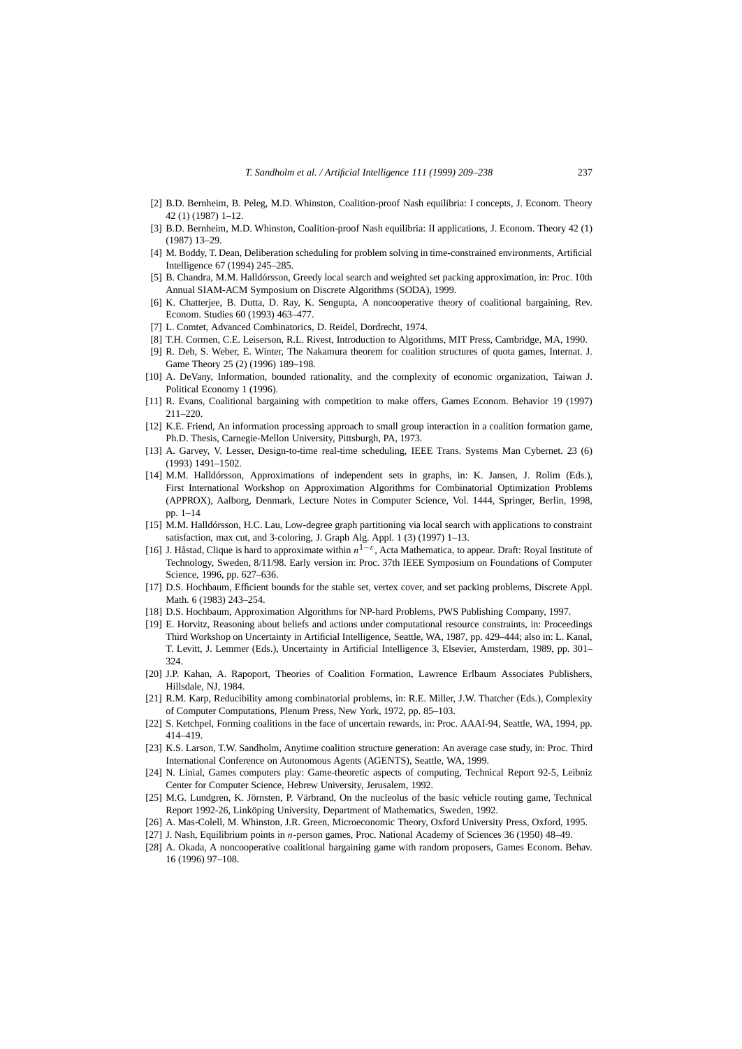- [2] B.D. Bernheim, B. Peleg, M.D. Whinston, Coalition-proof Nash equilibria: I concepts, J. Econom. Theory 42 (1) (1987) 1–12.
- [3] B.D. Bernheim, M.D. Whinston, Coalition-proof Nash equilibria: II applications, J. Econom. Theory 42 (1) (1987) 13–29.
- [4] M. Boddy, T. Dean, Deliberation scheduling for problem solving in time-constrained environments, Artificial Intelligence 67 (1994) 245–285.
- [5] B. Chandra, M.M. Halldórsson, Greedy local search and weighted set packing approximation, in: Proc. 10th Annual SIAM-ACM Symposium on Discrete Algorithms (SODA), 1999.
- [6] K. Chatterjee, B. Dutta, D. Ray, K. Sengupta, A noncooperative theory of coalitional bargaining, Rev. Econom. Studies 60 (1993) 463–477.
- [7] L. Comtet, Advanced Combinatorics, D. Reidel, Dordrecht, 1974.
- [8] T.H. Cormen, C.E. Leiserson, R.L. Rivest, Introduction to Algorithms, MIT Press, Cambridge, MA, 1990.
- [9] R. Deb, S. Weber, E. Winter, The Nakamura theorem for coalition structures of quota games, Internat. J. Game Theory 25 (2) (1996) 189–198.
- [10] A. DeVany, Information, bounded rationality, and the complexity of economic organization, Taiwan J. Political Economy 1 (1996).
- [11] R. Evans, Coalitional bargaining with competition to make offers, Games Econom. Behavior 19 (1997) 211–220.
- [12] K.E. Friend, An information processing approach to small group interaction in a coalition formation game, Ph.D. Thesis, Carnegie-Mellon University, Pittsburgh, PA, 1973.
- [13] A. Garvey, V. Lesser, Design-to-time real-time scheduling, IEEE Trans. Systems Man Cybernet. 23 (6) (1993) 1491–1502.
- [14] M.M. Halldórsson, Approximations of independent sets in graphs, in: K. Jansen, J. Rolim (Eds.), First International Workshop on Approximation Algorithms for Combinatorial Optimization Problems (APPROX), Aalborg, Denmark, Lecture Notes in Computer Science, Vol. 1444, Springer, Berlin, 1998, pp. 1–14
- [15] M.M. Halldórsson, H.C. Lau, Low-degree graph partitioning via local search with applications to constraint satisfaction, max cut, and 3-coloring, J. Graph Alg. Appl. 1 (3) (1997) 1–13.
- [16] J. Håstad, Clique is hard to approximate within *n*1−*<sup>ε</sup>* , Acta Mathematica, to appear. Draft: Royal Institute of Technology, Sweden, 8/11/98. Early version in: Proc. 37th IEEE Symposium on Foundations of Computer Science, 1996, pp. 627–636.
- [17] D.S. Hochbaum, Efficient bounds for the stable set, vertex cover, and set packing problems, Discrete Appl. Math. 6 (1983) 243–254.
- [18] D.S. Hochbaum, Approximation Algorithms for NP-hard Problems, PWS Publishing Company, 1997.
- [19] E. Horvitz, Reasoning about beliefs and actions under computational resource constraints, in: Proceedings Third Workshop on Uncertainty in Artificial Intelligence, Seattle, WA, 1987, pp. 429–444; also in: L. Kanal, T. Levitt, J. Lemmer (Eds.), Uncertainty in Artificial Intelligence 3, Elsevier, Amsterdam, 1989, pp. 301– 324.
- [20] J.P. Kahan, A. Rapoport, Theories of Coalition Formation, Lawrence Erlbaum Associates Publishers, Hillsdale, NJ, 1984.
- [21] R.M. Karp, Reducibility among combinatorial problems, in: R.E. Miller, J.W. Thatcher (Eds.), Complexity of Computer Computations, Plenum Press, New York, 1972, pp. 85–103.
- [22] S. Ketchpel, Forming coalitions in the face of uncertain rewards, in: Proc. AAAI-94, Seattle, WA, 1994, pp. 414–419.
- [23] K.S. Larson, T.W. Sandholm, Anytime coalition structure generation: An average case study, in: Proc. Third International Conference on Autonomous Agents (AGENTS), Seattle, WA, 1999.
- [24] N. Linial, Games computers play: Game-theoretic aspects of computing, Technical Report 92-5, Leibniz Center for Computer Science, Hebrew University, Jerusalem, 1992.
- [25] M.G. Lundgren, K. Jörnsten, P. Värbrand, On the nucleolus of the basic vehicle routing game, Technical Report 1992-26, Linköping University, Department of Mathematics, Sweden, 1992.
- [26] A. Mas-Colell, M. Whinston, J.R. Green, Microeconomic Theory, Oxford University Press, Oxford, 1995.
- [27] J. Nash, Equilibrium points in *n*-person games, Proc. National Academy of Sciences 36 (1950) 48–49.
- [28] A. Okada, A noncooperative coalitional bargaining game with random proposers, Games Econom. Behav. 16 (1996) 97–108.